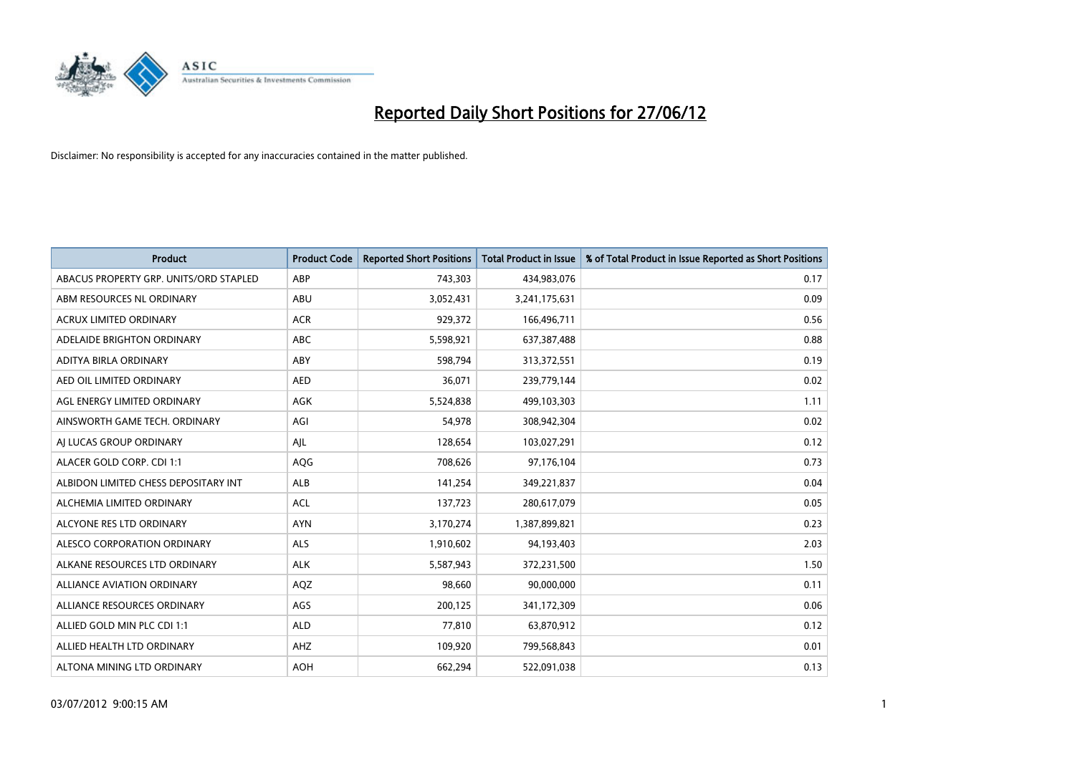

| <b>Product</b>                         | <b>Product Code</b> | <b>Reported Short Positions</b> | <b>Total Product in Issue</b> | % of Total Product in Issue Reported as Short Positions |
|----------------------------------------|---------------------|---------------------------------|-------------------------------|---------------------------------------------------------|
| ABACUS PROPERTY GRP. UNITS/ORD STAPLED | ABP                 | 743,303                         | 434,983,076                   | 0.17                                                    |
| ABM RESOURCES NL ORDINARY              | ABU                 | 3,052,431                       | 3,241,175,631                 | 0.09                                                    |
| <b>ACRUX LIMITED ORDINARY</b>          | <b>ACR</b>          | 929,372                         | 166,496,711                   | 0.56                                                    |
| ADELAIDE BRIGHTON ORDINARY             | <b>ABC</b>          | 5,598,921                       | 637,387,488                   | 0.88                                                    |
| ADITYA BIRLA ORDINARY                  | ABY                 | 598,794                         | 313,372,551                   | 0.19                                                    |
| AED OIL LIMITED ORDINARY               | <b>AED</b>          | 36,071                          | 239,779,144                   | 0.02                                                    |
| AGL ENERGY LIMITED ORDINARY            | AGK                 | 5,524,838                       | 499,103,303                   | 1.11                                                    |
| AINSWORTH GAME TECH. ORDINARY          | AGI                 | 54,978                          | 308,942,304                   | 0.02                                                    |
| AI LUCAS GROUP ORDINARY                | AJL                 | 128,654                         | 103,027,291                   | 0.12                                                    |
| ALACER GOLD CORP. CDI 1:1              | AQG                 | 708,626                         | 97,176,104                    | 0.73                                                    |
| ALBIDON LIMITED CHESS DEPOSITARY INT   | ALB                 | 141,254                         | 349,221,837                   | 0.04                                                    |
| ALCHEMIA LIMITED ORDINARY              | <b>ACL</b>          | 137,723                         | 280,617,079                   | 0.05                                                    |
| ALCYONE RES LTD ORDINARY               | <b>AYN</b>          | 3,170,274                       | 1,387,899,821                 | 0.23                                                    |
| ALESCO CORPORATION ORDINARY            | ALS                 | 1,910,602                       | 94,193,403                    | 2.03                                                    |
| ALKANE RESOURCES LTD ORDINARY          | <b>ALK</b>          | 5,587,943                       | 372,231,500                   | 1.50                                                    |
| ALLIANCE AVIATION ORDINARY             | AQZ                 | 98,660                          | 90,000,000                    | 0.11                                                    |
| ALLIANCE RESOURCES ORDINARY            | AGS                 | 200,125                         | 341,172,309                   | 0.06                                                    |
| ALLIED GOLD MIN PLC CDI 1:1            | <b>ALD</b>          | 77,810                          | 63,870,912                    | 0.12                                                    |
| ALLIED HEALTH LTD ORDINARY             | AHZ                 | 109,920                         | 799,568,843                   | 0.01                                                    |
| ALTONA MINING LTD ORDINARY             | <b>AOH</b>          | 662,294                         | 522,091,038                   | 0.13                                                    |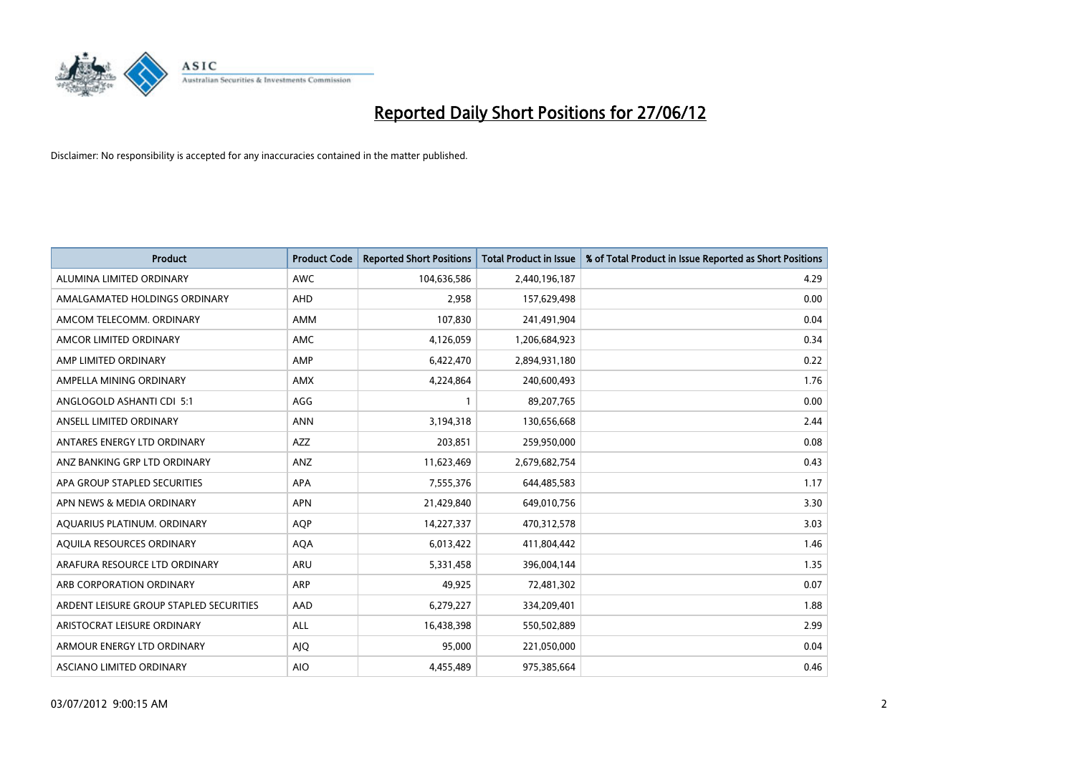

| <b>Product</b>                          | <b>Product Code</b> | <b>Reported Short Positions</b> | <b>Total Product in Issue</b> | % of Total Product in Issue Reported as Short Positions |
|-----------------------------------------|---------------------|---------------------------------|-------------------------------|---------------------------------------------------------|
| ALUMINA LIMITED ORDINARY                | <b>AWC</b>          | 104,636,586                     | 2,440,196,187                 | 4.29                                                    |
| AMALGAMATED HOLDINGS ORDINARY           | AHD                 | 2,958                           | 157,629,498                   | 0.00                                                    |
| AMCOM TELECOMM. ORDINARY                | <b>AMM</b>          | 107,830                         | 241,491,904                   | 0.04                                                    |
| AMCOR LIMITED ORDINARY                  | <b>AMC</b>          | 4,126,059                       | 1,206,684,923                 | 0.34                                                    |
| AMP LIMITED ORDINARY                    | AMP                 | 6,422,470                       | 2,894,931,180                 | 0.22                                                    |
| AMPELLA MINING ORDINARY                 | AMX                 | 4,224,864                       | 240,600,493                   | 1.76                                                    |
| ANGLOGOLD ASHANTI CDI 5:1               | AGG                 |                                 | 89,207,765                    | 0.00                                                    |
| ANSELL LIMITED ORDINARY                 | <b>ANN</b>          | 3,194,318                       | 130,656,668                   | 2.44                                                    |
| ANTARES ENERGY LTD ORDINARY             | <b>AZZ</b>          | 203,851                         | 259,950,000                   | 0.08                                                    |
| ANZ BANKING GRP LTD ORDINARY            | ANZ                 | 11,623,469                      | 2,679,682,754                 | 0.43                                                    |
| APA GROUP STAPLED SECURITIES            | APA                 | 7,555,376                       | 644,485,583                   | 1.17                                                    |
| APN NEWS & MEDIA ORDINARY               | <b>APN</b>          | 21,429,840                      | 649,010,756                   | 3.30                                                    |
| AQUARIUS PLATINUM. ORDINARY             | <b>AOP</b>          | 14,227,337                      | 470,312,578                   | 3.03                                                    |
| AQUILA RESOURCES ORDINARY               | <b>AQA</b>          | 6,013,422                       | 411,804,442                   | 1.46                                                    |
| ARAFURA RESOURCE LTD ORDINARY           | ARU                 | 5,331,458                       | 396,004,144                   | 1.35                                                    |
| ARB CORPORATION ORDINARY                | ARP                 | 49,925                          | 72,481,302                    | 0.07                                                    |
| ARDENT LEISURE GROUP STAPLED SECURITIES | AAD                 | 6,279,227                       | 334,209,401                   | 1.88                                                    |
| ARISTOCRAT LEISURE ORDINARY             | ALL                 | 16,438,398                      | 550,502,889                   | 2.99                                                    |
| ARMOUR ENERGY LTD ORDINARY              | <b>AJQ</b>          | 95,000                          | 221,050,000                   | 0.04                                                    |
| ASCIANO LIMITED ORDINARY                | <b>AIO</b>          | 4,455,489                       | 975,385,664                   | 0.46                                                    |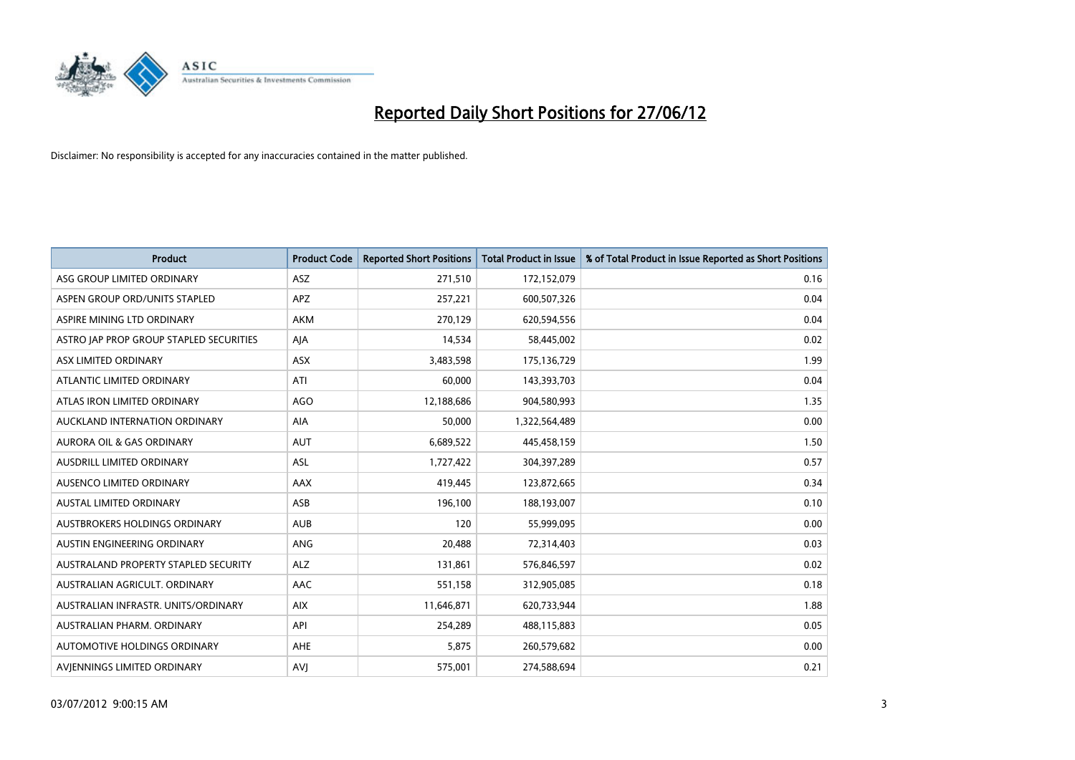

| <b>Product</b>                          | <b>Product Code</b> | <b>Reported Short Positions</b> | <b>Total Product in Issue</b> | % of Total Product in Issue Reported as Short Positions |
|-----------------------------------------|---------------------|---------------------------------|-------------------------------|---------------------------------------------------------|
| ASG GROUP LIMITED ORDINARY              | ASZ                 | 271,510                         | 172,152,079                   | 0.16                                                    |
| ASPEN GROUP ORD/UNITS STAPLED           | APZ                 | 257,221                         | 600,507,326                   | 0.04                                                    |
| ASPIRE MINING LTD ORDINARY              | <b>AKM</b>          | 270,129                         | 620,594,556                   | 0.04                                                    |
| ASTRO JAP PROP GROUP STAPLED SECURITIES | AJA                 | 14,534                          | 58,445,002                    | 0.02                                                    |
| ASX LIMITED ORDINARY                    | ASX                 | 3,483,598                       | 175,136,729                   | 1.99                                                    |
| ATLANTIC LIMITED ORDINARY               | ATI                 | 60,000                          | 143,393,703                   | 0.04                                                    |
| ATLAS IRON LIMITED ORDINARY             | <b>AGO</b>          | 12,188,686                      | 904,580,993                   | 1.35                                                    |
| AUCKLAND INTERNATION ORDINARY           | AIA                 | 50,000                          | 1,322,564,489                 | 0.00                                                    |
| <b>AURORA OIL &amp; GAS ORDINARY</b>    | <b>AUT</b>          | 6,689,522                       | 445,458,159                   | 1.50                                                    |
| AUSDRILL LIMITED ORDINARY               | <b>ASL</b>          | 1,727,422                       | 304,397,289                   | 0.57                                                    |
| AUSENCO LIMITED ORDINARY                | AAX                 | 419,445                         | 123,872,665                   | 0.34                                                    |
| <b>AUSTAL LIMITED ORDINARY</b>          | ASB                 | 196,100                         | 188,193,007                   | 0.10                                                    |
| AUSTBROKERS HOLDINGS ORDINARY           | <b>AUB</b>          | 120                             | 55,999,095                    | 0.00                                                    |
| AUSTIN ENGINEERING ORDINARY             | ANG                 | 20,488                          | 72,314,403                    | 0.03                                                    |
| AUSTRALAND PROPERTY STAPLED SECURITY    | <b>ALZ</b>          | 131,861                         | 576,846,597                   | 0.02                                                    |
| AUSTRALIAN AGRICULT. ORDINARY           | AAC                 | 551,158                         | 312,905,085                   | 0.18                                                    |
| AUSTRALIAN INFRASTR. UNITS/ORDINARY     | <b>AIX</b>          | 11,646,871                      | 620,733,944                   | 1.88                                                    |
| AUSTRALIAN PHARM, ORDINARY              | API                 | 254,289                         | 488,115,883                   | 0.05                                                    |
| AUTOMOTIVE HOLDINGS ORDINARY            | AHE                 | 5,875                           | 260,579,682                   | 0.00                                                    |
| AVJENNINGS LIMITED ORDINARY             | <b>AVJ</b>          | 575,001                         | 274,588,694                   | 0.21                                                    |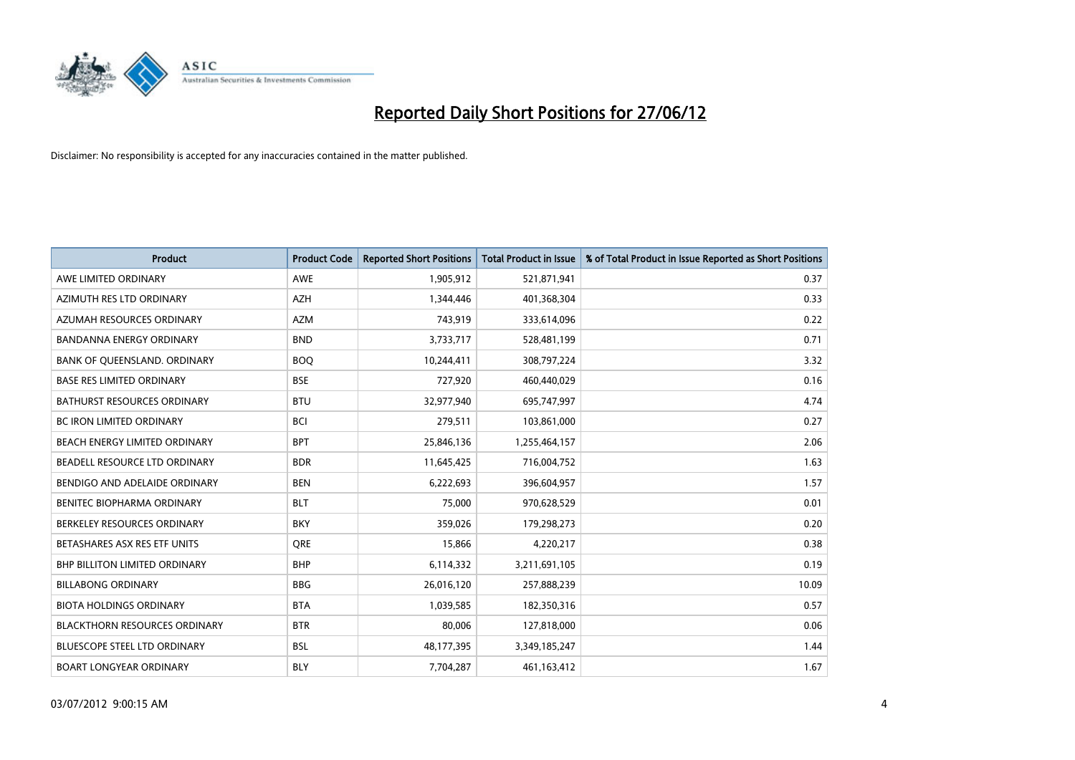

| <b>Product</b>                       | <b>Product Code</b> | <b>Reported Short Positions</b> | <b>Total Product in Issue</b> | % of Total Product in Issue Reported as Short Positions |
|--------------------------------------|---------------------|---------------------------------|-------------------------------|---------------------------------------------------------|
| AWE LIMITED ORDINARY                 | <b>AWE</b>          | 1,905,912                       | 521,871,941                   | 0.37                                                    |
| AZIMUTH RES LTD ORDINARY             | <b>AZH</b>          | 1,344,446                       | 401,368,304                   | 0.33                                                    |
| AZUMAH RESOURCES ORDINARY            | AZM                 | 743,919                         | 333,614,096                   | 0.22                                                    |
| <b>BANDANNA ENERGY ORDINARY</b>      | <b>BND</b>          | 3,733,717                       | 528,481,199                   | 0.71                                                    |
| BANK OF QUEENSLAND. ORDINARY         | <b>BOQ</b>          | 10,244,411                      | 308,797,224                   | 3.32                                                    |
| <b>BASE RES LIMITED ORDINARY</b>     | <b>BSE</b>          | 727,920                         | 460,440,029                   | 0.16                                                    |
| <b>BATHURST RESOURCES ORDINARY</b>   | <b>BTU</b>          | 32,977,940                      | 695,747,997                   | 4.74                                                    |
| <b>BC IRON LIMITED ORDINARY</b>      | <b>BCI</b>          | 279,511                         | 103,861,000                   | 0.27                                                    |
| BEACH ENERGY LIMITED ORDINARY        | <b>BPT</b>          | 25,846,136                      | 1,255,464,157                 | 2.06                                                    |
| BEADELL RESOURCE LTD ORDINARY        | <b>BDR</b>          | 11,645,425                      | 716,004,752                   | 1.63                                                    |
| BENDIGO AND ADELAIDE ORDINARY        | <b>BEN</b>          | 6,222,693                       | 396,604,957                   | 1.57                                                    |
| BENITEC BIOPHARMA ORDINARY           | <b>BLT</b>          | 75,000                          | 970,628,529                   | 0.01                                                    |
| BERKELEY RESOURCES ORDINARY          | <b>BKY</b>          | 359,026                         | 179,298,273                   | 0.20                                                    |
| BETASHARES ASX RES ETF UNITS         | <b>ORE</b>          | 15,866                          | 4,220,217                     | 0.38                                                    |
| <b>BHP BILLITON LIMITED ORDINARY</b> | <b>BHP</b>          | 6,114,332                       | 3,211,691,105                 | 0.19                                                    |
| <b>BILLABONG ORDINARY</b>            | <b>BBG</b>          | 26,016,120                      | 257,888,239                   | 10.09                                                   |
| <b>BIOTA HOLDINGS ORDINARY</b>       | <b>BTA</b>          | 1,039,585                       | 182,350,316                   | 0.57                                                    |
| <b>BLACKTHORN RESOURCES ORDINARY</b> | <b>BTR</b>          | 80.006                          | 127,818,000                   | 0.06                                                    |
| <b>BLUESCOPE STEEL LTD ORDINARY</b>  | <b>BSL</b>          | 48,177,395                      | 3,349,185,247                 | 1.44                                                    |
| <b>BOART LONGYEAR ORDINARY</b>       | <b>BLY</b>          | 7,704,287                       | 461,163,412                   | 1.67                                                    |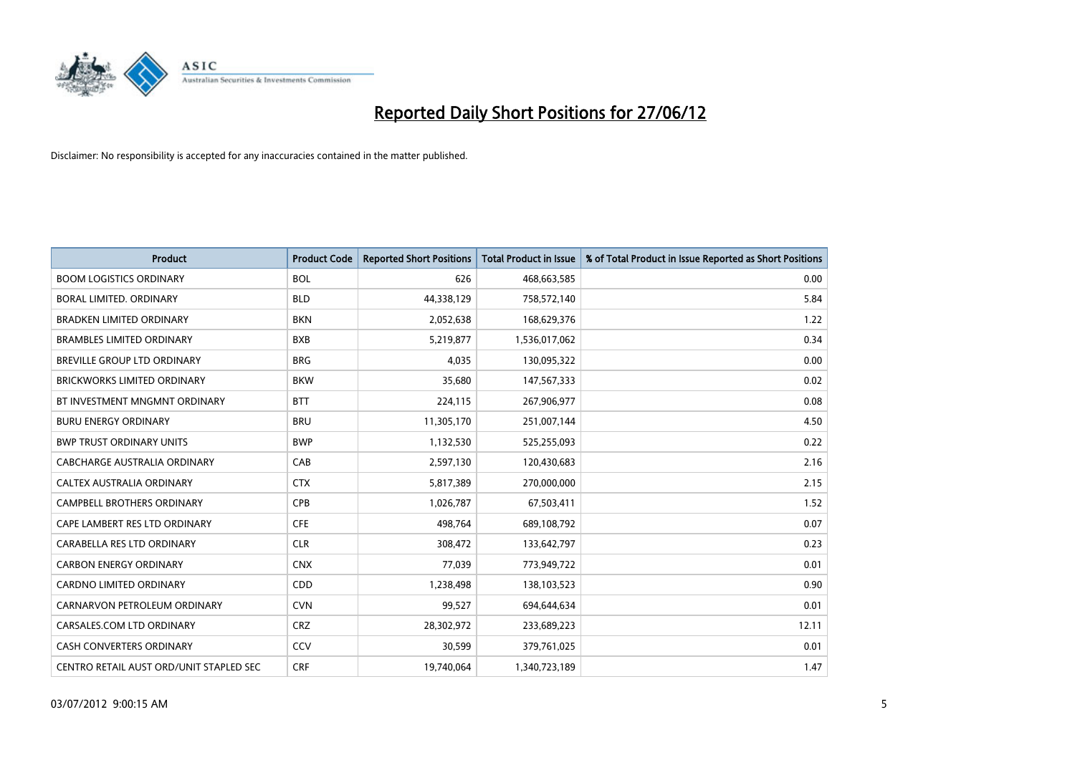

| <b>Product</b>                          | <b>Product Code</b> | <b>Reported Short Positions</b> | <b>Total Product in Issue</b> | % of Total Product in Issue Reported as Short Positions |
|-----------------------------------------|---------------------|---------------------------------|-------------------------------|---------------------------------------------------------|
| <b>BOOM LOGISTICS ORDINARY</b>          | <b>BOL</b>          | 626                             | 468,663,585                   | 0.00                                                    |
| <b>BORAL LIMITED, ORDINARY</b>          | <b>BLD</b>          | 44,338,129                      | 758,572,140                   | 5.84                                                    |
| <b>BRADKEN LIMITED ORDINARY</b>         | <b>BKN</b>          | 2,052,638                       | 168,629,376                   | 1.22                                                    |
| <b>BRAMBLES LIMITED ORDINARY</b>        | <b>BXB</b>          | 5,219,877                       | 1,536,017,062                 | 0.34                                                    |
| <b>BREVILLE GROUP LTD ORDINARY</b>      | <b>BRG</b>          | 4,035                           | 130,095,322                   | 0.00                                                    |
| <b>BRICKWORKS LIMITED ORDINARY</b>      | <b>BKW</b>          | 35,680                          | 147,567,333                   | 0.02                                                    |
| BT INVESTMENT MNGMNT ORDINARY           | <b>BTT</b>          | 224,115                         | 267,906,977                   | 0.08                                                    |
| <b>BURU ENERGY ORDINARY</b>             | <b>BRU</b>          | 11,305,170                      | 251,007,144                   | 4.50                                                    |
| <b>BWP TRUST ORDINARY UNITS</b>         | <b>BWP</b>          | 1,132,530                       | 525,255,093                   | 0.22                                                    |
| CABCHARGE AUSTRALIA ORDINARY            | CAB                 | 2,597,130                       | 120,430,683                   | 2.16                                                    |
| CALTEX AUSTRALIA ORDINARY               | <b>CTX</b>          | 5,817,389                       | 270,000,000                   | 2.15                                                    |
| CAMPBELL BROTHERS ORDINARY              | <b>CPB</b>          | 1,026,787                       | 67,503,411                    | 1.52                                                    |
| CAPE LAMBERT RES LTD ORDINARY           | <b>CFE</b>          | 498,764                         | 689,108,792                   | 0.07                                                    |
| CARABELLA RES LTD ORDINARY              | <b>CLR</b>          | 308,472                         | 133,642,797                   | 0.23                                                    |
| <b>CARBON ENERGY ORDINARY</b>           | <b>CNX</b>          | 77,039                          | 773,949,722                   | 0.01                                                    |
| <b>CARDNO LIMITED ORDINARY</b>          | CDD                 | 1,238,498                       | 138,103,523                   | 0.90                                                    |
| CARNARVON PETROLEUM ORDINARY            | <b>CVN</b>          | 99,527                          | 694,644,634                   | 0.01                                                    |
| CARSALES.COM LTD ORDINARY               | <b>CRZ</b>          | 28,302,972                      | 233,689,223                   | 12.11                                                   |
| <b>CASH CONVERTERS ORDINARY</b>         | CCV                 | 30,599                          | 379,761,025                   | 0.01                                                    |
| CENTRO RETAIL AUST ORD/UNIT STAPLED SEC | <b>CRF</b>          | 19,740,064                      | 1,340,723,189                 | 1.47                                                    |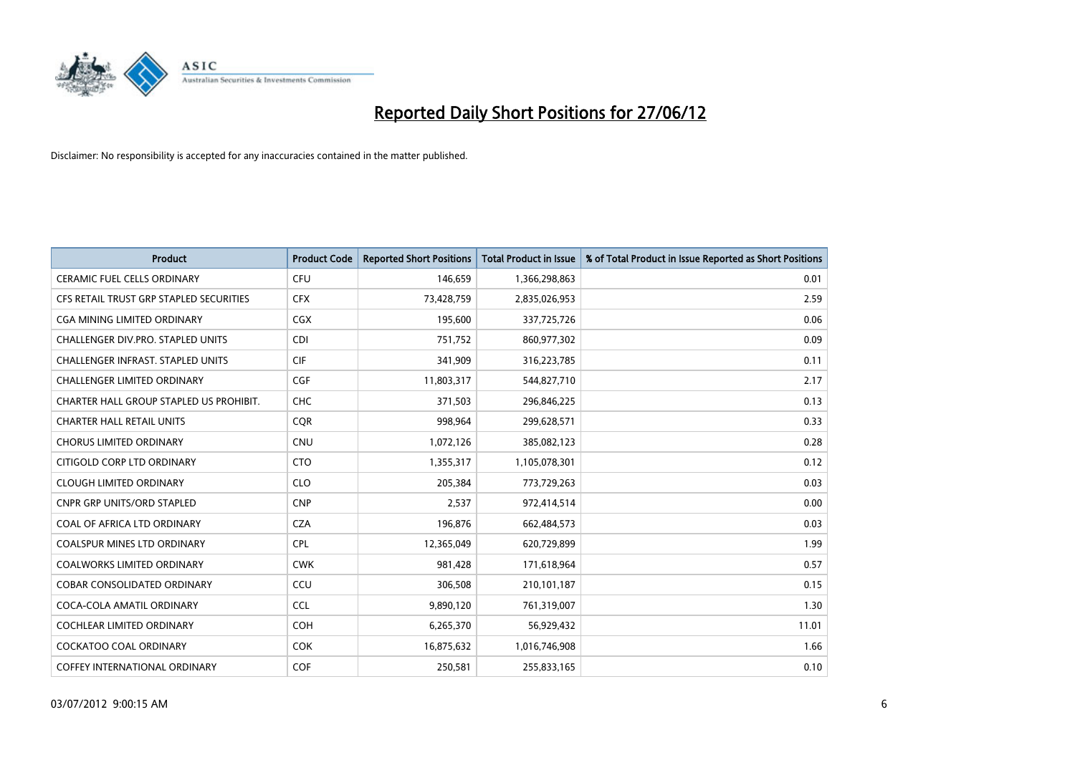

| <b>Product</b>                           | <b>Product Code</b> | <b>Reported Short Positions</b> | <b>Total Product in Issue</b> | % of Total Product in Issue Reported as Short Positions |
|------------------------------------------|---------------------|---------------------------------|-------------------------------|---------------------------------------------------------|
| <b>CERAMIC FUEL CELLS ORDINARY</b>       | <b>CFU</b>          | 146,659                         | 1,366,298,863                 | 0.01                                                    |
| CFS RETAIL TRUST GRP STAPLED SECURITIES  | <b>CFX</b>          | 73,428,759                      | 2,835,026,953                 | 2.59                                                    |
| CGA MINING LIMITED ORDINARY              | CGX                 | 195,600                         | 337,725,726                   | 0.06                                                    |
| CHALLENGER DIV.PRO. STAPLED UNITS        | <b>CDI</b>          | 751,752                         | 860,977,302                   | 0.09                                                    |
| <b>CHALLENGER INFRAST, STAPLED UNITS</b> | <b>CIF</b>          | 341,909                         | 316,223,785                   | 0.11                                                    |
| <b>CHALLENGER LIMITED ORDINARY</b>       | <b>CGF</b>          | 11,803,317                      | 544,827,710                   | 2.17                                                    |
| CHARTER HALL GROUP STAPLED US PROHIBIT.  | <b>CHC</b>          | 371,503                         | 296,846,225                   | 0.13                                                    |
| <b>CHARTER HALL RETAIL UNITS</b>         | <b>CQR</b>          | 998,964                         | 299,628,571                   | 0.33                                                    |
| <b>CHORUS LIMITED ORDINARY</b>           | <b>CNU</b>          | 1,072,126                       | 385,082,123                   | 0.28                                                    |
| CITIGOLD CORP LTD ORDINARY               | <b>CTO</b>          | 1,355,317                       | 1,105,078,301                 | 0.12                                                    |
| <b>CLOUGH LIMITED ORDINARY</b>           | <b>CLO</b>          | 205,384                         | 773,729,263                   | 0.03                                                    |
| CNPR GRP UNITS/ORD STAPLED               | <b>CNP</b>          | 2,537                           | 972,414,514                   | 0.00                                                    |
| COAL OF AFRICA LTD ORDINARY              | <b>CZA</b>          | 196,876                         | 662,484,573                   | 0.03                                                    |
| <b>COALSPUR MINES LTD ORDINARY</b>       | <b>CPL</b>          | 12,365,049                      | 620,729,899                   | 1.99                                                    |
| <b>COALWORKS LIMITED ORDINARY</b>        | <b>CWK</b>          | 981,428                         | 171,618,964                   | 0.57                                                    |
| <b>COBAR CONSOLIDATED ORDINARY</b>       | CCU                 | 306,508                         | 210,101,187                   | 0.15                                                    |
| COCA-COLA AMATIL ORDINARY                | <b>CCL</b>          | 9,890,120                       | 761,319,007                   | 1.30                                                    |
| COCHLEAR LIMITED ORDINARY                | <b>COH</b>          | 6,265,370                       | 56,929,432                    | 11.01                                                   |
| <b>COCKATOO COAL ORDINARY</b>            | <b>COK</b>          | 16,875,632                      | 1,016,746,908                 | 1.66                                                    |
| <b>COFFEY INTERNATIONAL ORDINARY</b>     | <b>COF</b>          | 250,581                         | 255,833,165                   | 0.10                                                    |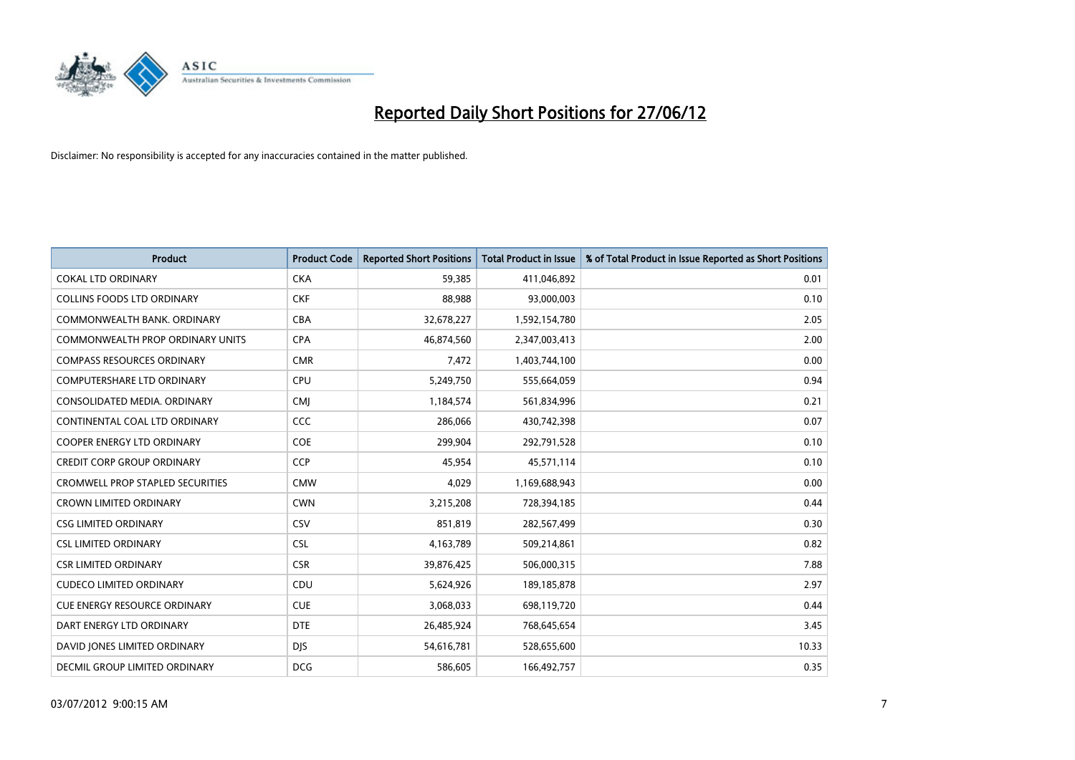

| <b>Product</b>                          | <b>Product Code</b> | <b>Reported Short Positions</b> | <b>Total Product in Issue</b> | % of Total Product in Issue Reported as Short Positions |
|-----------------------------------------|---------------------|---------------------------------|-------------------------------|---------------------------------------------------------|
| <b>COKAL LTD ORDINARY</b>               | <b>CKA</b>          | 59,385                          | 411,046,892                   | 0.01                                                    |
| <b>COLLINS FOODS LTD ORDINARY</b>       | <b>CKF</b>          | 88,988                          | 93,000,003                    | 0.10                                                    |
| COMMONWEALTH BANK, ORDINARY             | <b>CBA</b>          | 32,678,227                      | 1,592,154,780                 | 2.05                                                    |
| COMMONWEALTH PROP ORDINARY UNITS        | <b>CPA</b>          | 46,874,560                      | 2,347,003,413                 | 2.00                                                    |
| <b>COMPASS RESOURCES ORDINARY</b>       | <b>CMR</b>          | 7,472                           | 1,403,744,100                 | 0.00                                                    |
| <b>COMPUTERSHARE LTD ORDINARY</b>       | <b>CPU</b>          | 5,249,750                       | 555,664,059                   | 0.94                                                    |
| CONSOLIDATED MEDIA, ORDINARY            | <b>CMI</b>          | 1,184,574                       | 561,834,996                   | 0.21                                                    |
| CONTINENTAL COAL LTD ORDINARY           | CCC                 | 286,066                         | 430,742,398                   | 0.07                                                    |
| <b>COOPER ENERGY LTD ORDINARY</b>       | <b>COE</b>          | 299,904                         | 292,791,528                   | 0.10                                                    |
| <b>CREDIT CORP GROUP ORDINARY</b>       | <b>CCP</b>          | 45,954                          | 45,571,114                    | 0.10                                                    |
| <b>CROMWELL PROP STAPLED SECURITIES</b> | <b>CMW</b>          | 4,029                           | 1,169,688,943                 | 0.00                                                    |
| <b>CROWN LIMITED ORDINARY</b>           | <b>CWN</b>          | 3,215,208                       | 728,394,185                   | 0.44                                                    |
| <b>CSG LIMITED ORDINARY</b>             | <b>CSV</b>          | 851,819                         | 282,567,499                   | 0.30                                                    |
| <b>CSL LIMITED ORDINARY</b>             | <b>CSL</b>          | 4,163,789                       | 509,214,861                   | 0.82                                                    |
| <b>CSR LIMITED ORDINARY</b>             | <b>CSR</b>          | 39,876,425                      | 506,000,315                   | 7.88                                                    |
| <b>CUDECO LIMITED ORDINARY</b>          | CDU                 | 5,624,926                       | 189, 185, 878                 | 2.97                                                    |
| <b>CUE ENERGY RESOURCE ORDINARY</b>     | <b>CUE</b>          | 3,068,033                       | 698,119,720                   | 0.44                                                    |
| DART ENERGY LTD ORDINARY                | <b>DTE</b>          | 26,485,924                      | 768,645,654                   | 3.45                                                    |
| DAVID JONES LIMITED ORDINARY            | <b>DJS</b>          | 54,616,781                      | 528,655,600                   | 10.33                                                   |
| DECMIL GROUP LIMITED ORDINARY           | <b>DCG</b>          | 586,605                         | 166,492,757                   | 0.35                                                    |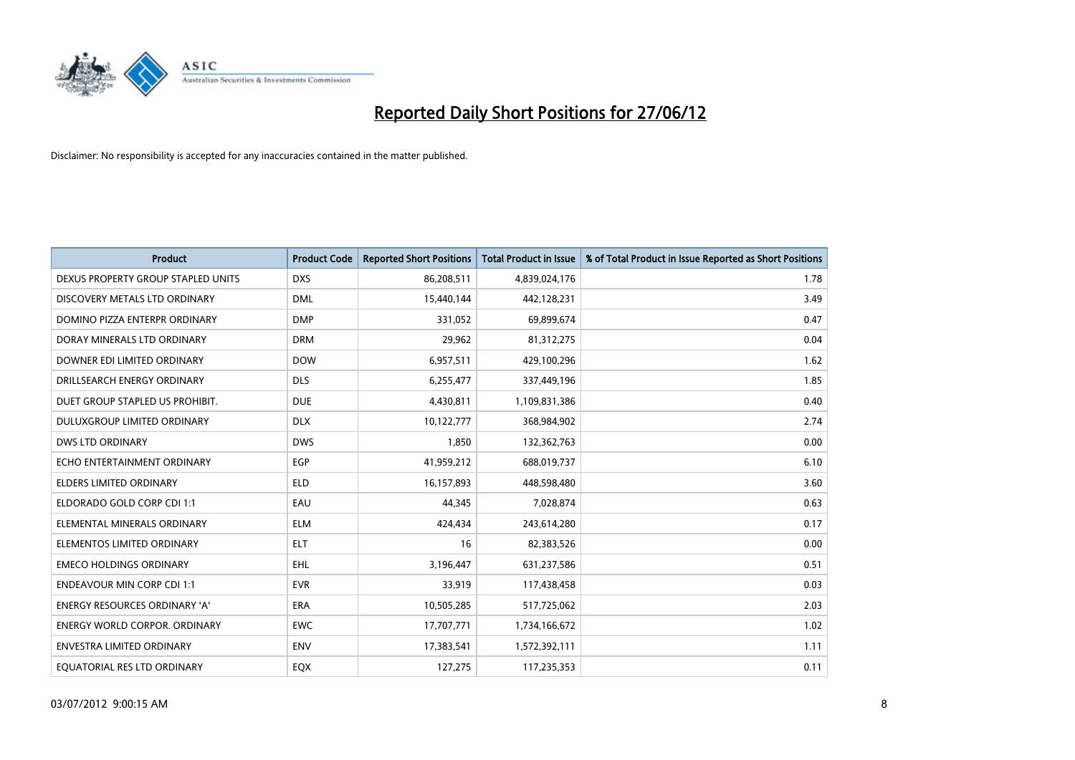

| <b>Product</b>                       | <b>Product Code</b> | <b>Reported Short Positions</b> | <b>Total Product in Issue</b> | % of Total Product in Issue Reported as Short Positions |
|--------------------------------------|---------------------|---------------------------------|-------------------------------|---------------------------------------------------------|
| DEXUS PROPERTY GROUP STAPLED UNITS   | <b>DXS</b>          | 86,208,511                      | 4,839,024,176                 | 1.78                                                    |
| DISCOVERY METALS LTD ORDINARY        | <b>DML</b>          | 15,440,144                      | 442,128,231                   | 3.49                                                    |
| DOMINO PIZZA ENTERPR ORDINARY        | <b>DMP</b>          | 331,052                         | 69,899,674                    | 0.47                                                    |
| DORAY MINERALS LTD ORDINARY          | <b>DRM</b>          | 29,962                          | 81,312,275                    | 0.04                                                    |
| DOWNER EDI LIMITED ORDINARY          | <b>DOW</b>          | 6,957,511                       | 429,100,296                   | 1.62                                                    |
| DRILLSEARCH ENERGY ORDINARY          | <b>DLS</b>          | 6,255,477                       | 337,449,196                   | 1.85                                                    |
| DUET GROUP STAPLED US PROHIBIT.      | <b>DUE</b>          | 4,430,811                       | 1,109,831,386                 | 0.40                                                    |
| DULUXGROUP LIMITED ORDINARY          | <b>DLX</b>          | 10,122,777                      | 368,984,902                   | 2.74                                                    |
| <b>DWS LTD ORDINARY</b>              | <b>DWS</b>          | 1,850                           | 132,362,763                   | 0.00                                                    |
| ECHO ENTERTAINMENT ORDINARY          | EGP                 | 41,959,212                      | 688,019,737                   | 6.10                                                    |
| ELDERS LIMITED ORDINARY              | <b>ELD</b>          | 16,157,893                      | 448,598,480                   | 3.60                                                    |
| ELDORADO GOLD CORP CDI 1:1           | EAU                 | 44.345                          | 7,028,874                     | 0.63                                                    |
| ELEMENTAL MINERALS ORDINARY          | <b>ELM</b>          | 424,434                         | 243,614,280                   | 0.17                                                    |
| ELEMENTOS LIMITED ORDINARY           | <b>ELT</b>          | 16                              | 82,383,526                    | 0.00                                                    |
| <b>EMECO HOLDINGS ORDINARY</b>       | EHL                 | 3,196,447                       | 631,237,586                   | 0.51                                                    |
| <b>ENDEAVOUR MIN CORP CDI 1:1</b>    | <b>EVR</b>          | 33,919                          | 117,438,458                   | 0.03                                                    |
| <b>ENERGY RESOURCES ORDINARY 'A'</b> | <b>ERA</b>          | 10,505,285                      | 517,725,062                   | 2.03                                                    |
| <b>ENERGY WORLD CORPOR, ORDINARY</b> | <b>EWC</b>          | 17,707,771                      | 1,734,166,672                 | 1.02                                                    |
| <b>ENVESTRA LIMITED ORDINARY</b>     | <b>ENV</b>          | 17,383,541                      | 1,572,392,111                 | 1.11                                                    |
| EQUATORIAL RES LTD ORDINARY          | EQX                 | 127,275                         | 117,235,353                   | 0.11                                                    |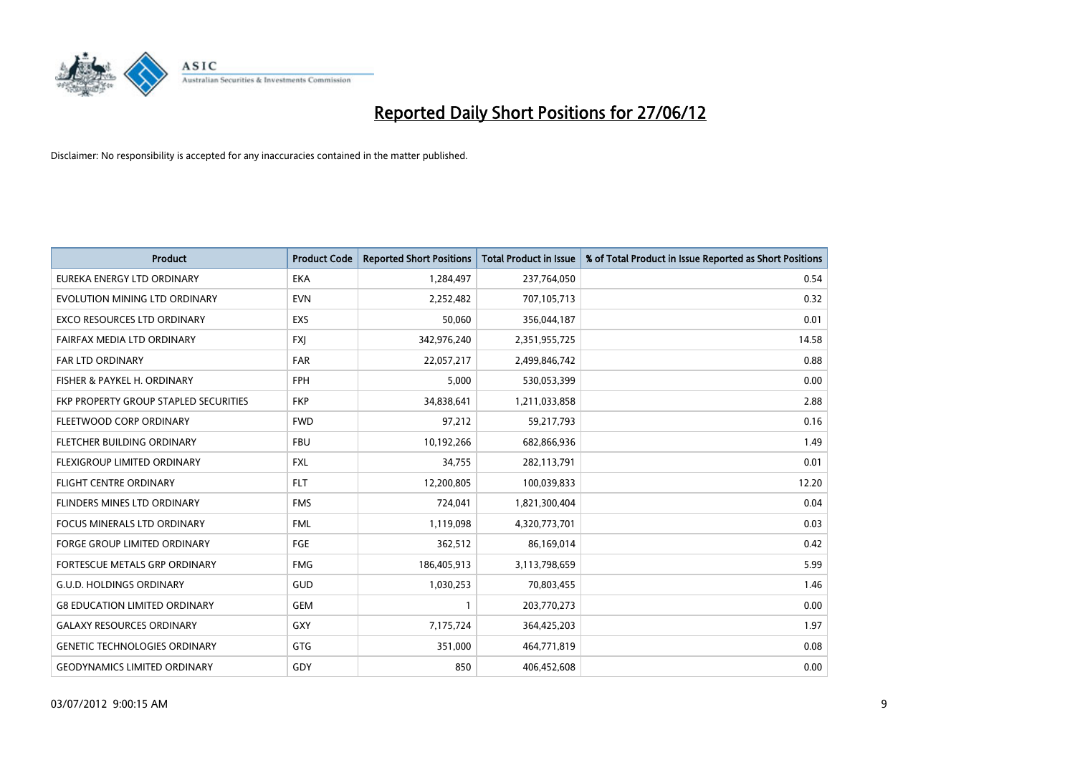

| <b>Product</b>                        | <b>Product Code</b> | <b>Reported Short Positions</b> | <b>Total Product in Issue</b> | % of Total Product in Issue Reported as Short Positions |
|---------------------------------------|---------------------|---------------------------------|-------------------------------|---------------------------------------------------------|
| EUREKA ENERGY LTD ORDINARY            | <b>EKA</b>          | 1,284,497                       | 237,764,050                   | 0.54                                                    |
| EVOLUTION MINING LTD ORDINARY         | <b>EVN</b>          | 2,252,482                       | 707,105,713                   | 0.32                                                    |
| EXCO RESOURCES LTD ORDINARY           | <b>EXS</b>          | 50,060                          | 356,044,187                   | 0.01                                                    |
| FAIRFAX MEDIA LTD ORDINARY            | <b>FXI</b>          | 342,976,240                     | 2,351,955,725                 | 14.58                                                   |
| <b>FAR LTD ORDINARY</b>               | <b>FAR</b>          | 22,057,217                      | 2,499,846,742                 | 0.88                                                    |
| FISHER & PAYKEL H. ORDINARY           | <b>FPH</b>          | 5,000                           | 530,053,399                   | 0.00                                                    |
| FKP PROPERTY GROUP STAPLED SECURITIES | <b>FKP</b>          | 34,838,641                      | 1,211,033,858                 | 2.88                                                    |
| FLEETWOOD CORP ORDINARY               | <b>FWD</b>          | 97,212                          | 59,217,793                    | 0.16                                                    |
| FLETCHER BUILDING ORDINARY            | <b>FBU</b>          | 10,192,266                      | 682,866,936                   | 1.49                                                    |
| FLEXIGROUP LIMITED ORDINARY           | <b>FXL</b>          | 34,755                          | 282,113,791                   | 0.01                                                    |
| <b>FLIGHT CENTRE ORDINARY</b>         | <b>FLT</b>          | 12,200,805                      | 100,039,833                   | 12.20                                                   |
| FLINDERS MINES LTD ORDINARY           | <b>FMS</b>          | 724,041                         | 1,821,300,404                 | 0.04                                                    |
| FOCUS MINERALS LTD ORDINARY           | <b>FML</b>          | 1,119,098                       | 4,320,773,701                 | 0.03                                                    |
| <b>FORGE GROUP LIMITED ORDINARY</b>   | FGE                 | 362,512                         | 86,169,014                    | 0.42                                                    |
| FORTESCUE METALS GRP ORDINARY         | <b>FMG</b>          | 186,405,913                     | 3,113,798,659                 | 5.99                                                    |
| <b>G.U.D. HOLDINGS ORDINARY</b>       | GUD                 | 1,030,253                       | 70,803,455                    | 1.46                                                    |
| <b>G8 EDUCATION LIMITED ORDINARY</b>  | <b>GEM</b>          | $\mathbf{1}$                    | 203,770,273                   | 0.00                                                    |
| <b>GALAXY RESOURCES ORDINARY</b>      | GXY                 | 7,175,724                       | 364,425,203                   | 1.97                                                    |
| <b>GENETIC TECHNOLOGIES ORDINARY</b>  | GTG                 | 351,000                         | 464,771,819                   | 0.08                                                    |
| <b>GEODYNAMICS LIMITED ORDINARY</b>   | GDY                 | 850                             | 406,452,608                   | 0.00                                                    |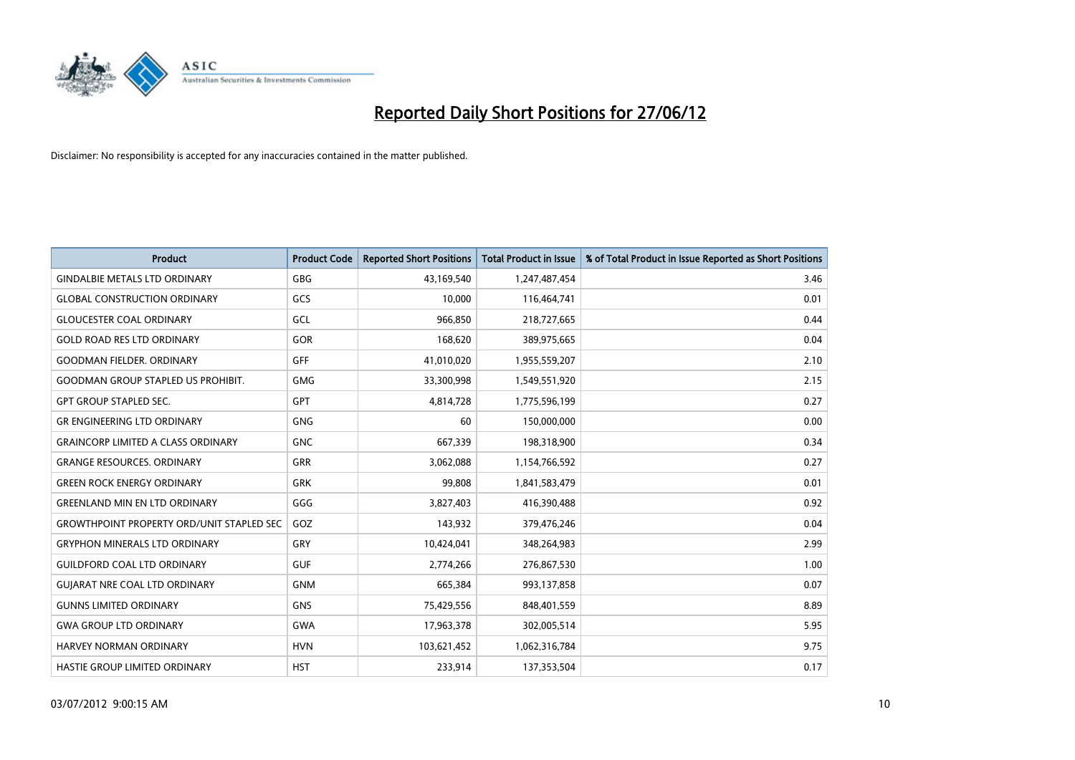

| <b>Product</b>                                   | <b>Product Code</b> | <b>Reported Short Positions</b> | <b>Total Product in Issue</b> | % of Total Product in Issue Reported as Short Positions |
|--------------------------------------------------|---------------------|---------------------------------|-------------------------------|---------------------------------------------------------|
| <b>GINDALBIE METALS LTD ORDINARY</b>             | <b>GBG</b>          | 43,169,540                      | 1,247,487,454                 | 3.46                                                    |
| <b>GLOBAL CONSTRUCTION ORDINARY</b>              | GCS                 | 10,000                          | 116,464,741                   | 0.01                                                    |
| <b>GLOUCESTER COAL ORDINARY</b>                  | GCL                 | 966,850                         | 218,727,665                   | 0.44                                                    |
| <b>GOLD ROAD RES LTD ORDINARY</b>                | <b>GOR</b>          | 168.620                         | 389,975,665                   | 0.04                                                    |
| <b>GOODMAN FIELDER, ORDINARY</b>                 | GFF                 | 41,010,020                      | 1,955,559,207                 | 2.10                                                    |
| <b>GOODMAN GROUP STAPLED US PROHIBIT.</b>        | <b>GMG</b>          | 33,300,998                      | 1,549,551,920                 | 2.15                                                    |
| <b>GPT GROUP STAPLED SEC.</b>                    | <b>GPT</b>          | 4,814,728                       | 1,775,596,199                 | 0.27                                                    |
| <b>GR ENGINEERING LTD ORDINARY</b>               | <b>GNG</b>          | 60                              | 150,000,000                   | 0.00                                                    |
| <b>GRAINCORP LIMITED A CLASS ORDINARY</b>        | <b>GNC</b>          | 667,339                         | 198,318,900                   | 0.34                                                    |
| <b>GRANGE RESOURCES, ORDINARY</b>                | <b>GRR</b>          | 3,062,088                       | 1,154,766,592                 | 0.27                                                    |
| <b>GREEN ROCK ENERGY ORDINARY</b>                | <b>GRK</b>          | 99,808                          | 1,841,583,479                 | 0.01                                                    |
| <b>GREENLAND MIN EN LTD ORDINARY</b>             | GGG                 | 3,827,403                       | 416,390,488                   | 0.92                                                    |
| <b>GROWTHPOINT PROPERTY ORD/UNIT STAPLED SEC</b> | GOZ                 | 143,932                         | 379,476,246                   | 0.04                                                    |
| <b>GRYPHON MINERALS LTD ORDINARY</b>             | GRY                 | 10,424,041                      | 348,264,983                   | 2.99                                                    |
| <b>GUILDFORD COAL LTD ORDINARY</b>               | <b>GUF</b>          | 2,774,266                       | 276,867,530                   | 1.00                                                    |
| <b>GUIARAT NRE COAL LTD ORDINARY</b>             | <b>GNM</b>          | 665,384                         | 993,137,858                   | 0.07                                                    |
| <b>GUNNS LIMITED ORDINARY</b>                    | <b>GNS</b>          | 75,429,556                      | 848,401,559                   | 8.89                                                    |
| <b>GWA GROUP LTD ORDINARY</b>                    | <b>GWA</b>          | 17,963,378                      | 302,005,514                   | 5.95                                                    |
| <b>HARVEY NORMAN ORDINARY</b>                    | <b>HVN</b>          | 103,621,452                     | 1,062,316,784                 | 9.75                                                    |
| HASTIE GROUP LIMITED ORDINARY                    | <b>HST</b>          | 233,914                         | 137,353,504                   | 0.17                                                    |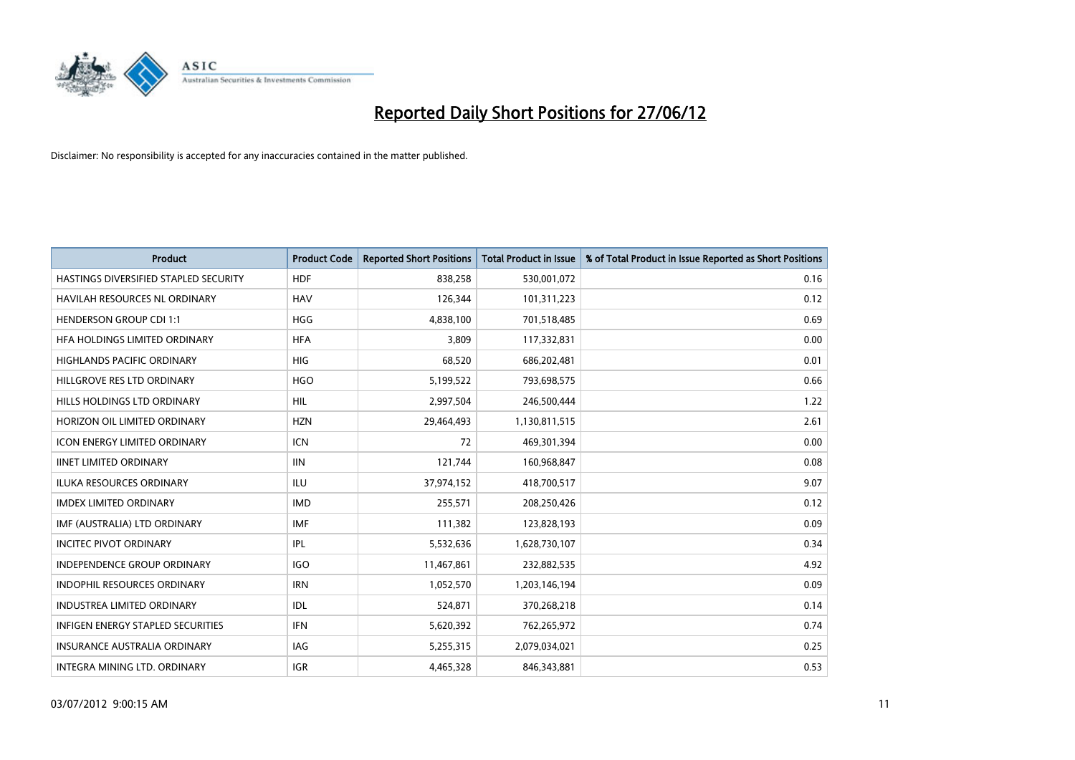

| <b>Product</b>                           | <b>Product Code</b> | <b>Reported Short Positions</b> | <b>Total Product in Issue</b> | % of Total Product in Issue Reported as Short Positions |
|------------------------------------------|---------------------|---------------------------------|-------------------------------|---------------------------------------------------------|
| HASTINGS DIVERSIFIED STAPLED SECURITY    | <b>HDF</b>          | 838,258                         | 530,001,072                   | 0.16                                                    |
| HAVILAH RESOURCES NL ORDINARY            | <b>HAV</b>          | 126,344                         | 101,311,223                   | 0.12                                                    |
| <b>HENDERSON GROUP CDI 1:1</b>           | <b>HGG</b>          | 4,838,100                       | 701,518,485                   | 0.69                                                    |
| HFA HOLDINGS LIMITED ORDINARY            | <b>HFA</b>          | 3,809                           | 117,332,831                   | 0.00                                                    |
| <b>HIGHLANDS PACIFIC ORDINARY</b>        | <b>HIG</b>          | 68,520                          | 686,202,481                   | 0.01                                                    |
| HILLGROVE RES LTD ORDINARY               | <b>HGO</b>          | 5,199,522                       | 793,698,575                   | 0.66                                                    |
| <b>HILLS HOLDINGS LTD ORDINARY</b>       | <b>HIL</b>          | 2,997,504                       | 246,500,444                   | 1.22                                                    |
| HORIZON OIL LIMITED ORDINARY             | <b>HZN</b>          | 29,464,493                      | 1,130,811,515                 | 2.61                                                    |
| <b>ICON ENERGY LIMITED ORDINARY</b>      | <b>ICN</b>          | 72                              | 469,301,394                   | 0.00                                                    |
| <b>IINET LIMITED ORDINARY</b>            | <b>IIN</b>          | 121,744                         | 160,968,847                   | 0.08                                                    |
| ILUKA RESOURCES ORDINARY                 | ILU                 | 37,974,152                      | 418,700,517                   | 9.07                                                    |
| <b>IMDEX LIMITED ORDINARY</b>            | <b>IMD</b>          | 255,571                         | 208,250,426                   | 0.12                                                    |
| IMF (AUSTRALIA) LTD ORDINARY             | <b>IMF</b>          | 111,382                         | 123,828,193                   | 0.09                                                    |
| <b>INCITEC PIVOT ORDINARY</b>            | <b>IPL</b>          | 5,532,636                       | 1,628,730,107                 | 0.34                                                    |
| <b>INDEPENDENCE GROUP ORDINARY</b>       | <b>IGO</b>          | 11,467,861                      | 232,882,535                   | 4.92                                                    |
| INDOPHIL RESOURCES ORDINARY              | <b>IRN</b>          | 1,052,570                       | 1,203,146,194                 | 0.09                                                    |
| INDUSTREA LIMITED ORDINARY               | IDL                 | 524,871                         | 370,268,218                   | 0.14                                                    |
| <b>INFIGEN ENERGY STAPLED SECURITIES</b> | <b>IFN</b>          | 5,620,392                       | 762,265,972                   | 0.74                                                    |
| <b>INSURANCE AUSTRALIA ORDINARY</b>      | <b>IAG</b>          | 5,255,315                       | 2,079,034,021                 | 0.25                                                    |
| INTEGRA MINING LTD. ORDINARY             | <b>IGR</b>          | 4,465,328                       | 846,343,881                   | 0.53                                                    |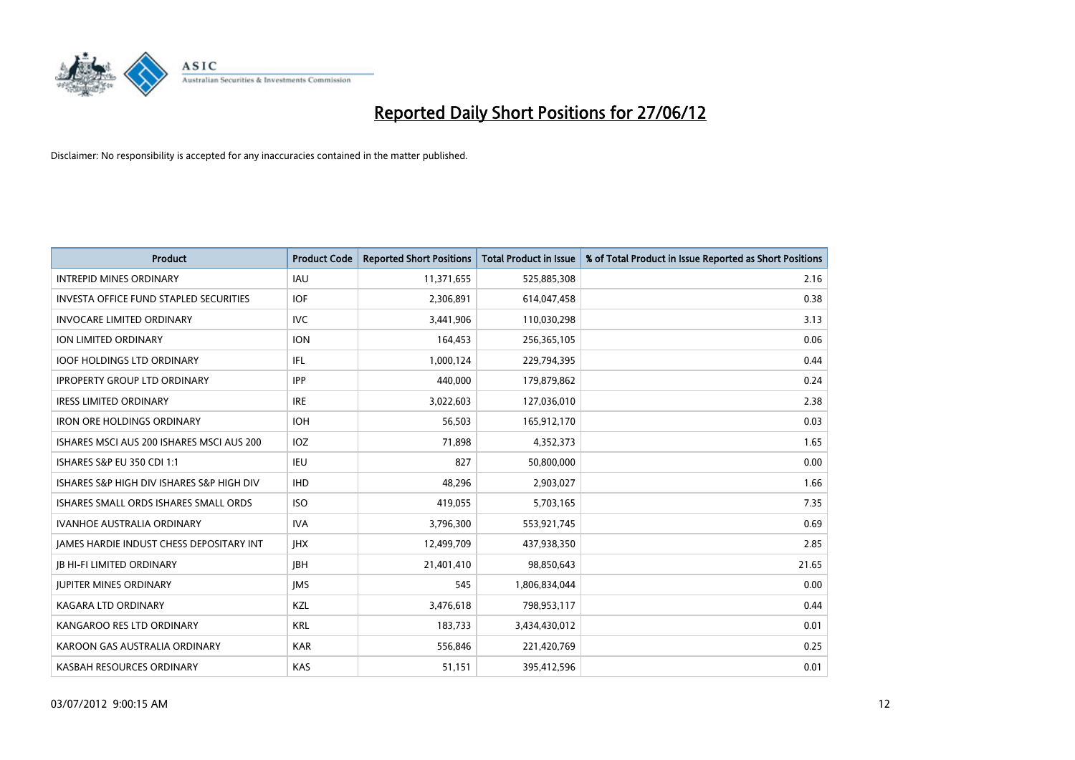

| <b>Product</b>                                | <b>Product Code</b> | <b>Reported Short Positions</b> | <b>Total Product in Issue</b> | % of Total Product in Issue Reported as Short Positions |
|-----------------------------------------------|---------------------|---------------------------------|-------------------------------|---------------------------------------------------------|
| <b>INTREPID MINES ORDINARY</b>                | <b>IAU</b>          | 11,371,655                      | 525,885,308                   | 2.16                                                    |
| <b>INVESTA OFFICE FUND STAPLED SECURITIES</b> | <b>IOF</b>          | 2,306,891                       | 614,047,458                   | 0.38                                                    |
| <b>INVOCARE LIMITED ORDINARY</b>              | <b>IVC</b>          | 3,441,906                       | 110,030,298                   | 3.13                                                    |
| ION LIMITED ORDINARY                          | <b>ION</b>          | 164,453                         | 256,365,105                   | 0.06                                                    |
| <b>IOOF HOLDINGS LTD ORDINARY</b>             | IFL.                | 1,000,124                       | 229,794,395                   | 0.44                                                    |
| <b>IPROPERTY GROUP LTD ORDINARY</b>           | <b>IPP</b>          | 440,000                         | 179,879,862                   | 0.24                                                    |
| <b>IRESS LIMITED ORDINARY</b>                 | <b>IRE</b>          | 3,022,603                       | 127,036,010                   | 2.38                                                    |
| <b>IRON ORE HOLDINGS ORDINARY</b>             | <b>IOH</b>          | 56,503                          | 165,912,170                   | 0.03                                                    |
| ISHARES MSCI AUS 200 ISHARES MSCI AUS 200     | <b>IOZ</b>          | 71,898                          | 4,352,373                     | 1.65                                                    |
| ISHARES S&P EU 350 CDI 1:1                    | <b>IEU</b>          | 827                             | 50,800,000                    | 0.00                                                    |
| ISHARES S&P HIGH DIV ISHARES S&P HIGH DIV     | <b>IHD</b>          | 48,296                          | 2,903,027                     | 1.66                                                    |
| ISHARES SMALL ORDS ISHARES SMALL ORDS         | <b>ISO</b>          | 419,055                         | 5,703,165                     | 7.35                                                    |
| <b>IVANHOE AUSTRALIA ORDINARY</b>             | <b>IVA</b>          | 3,796,300                       | 553,921,745                   | 0.69                                                    |
| JAMES HARDIE INDUST CHESS DEPOSITARY INT      | <b>IHX</b>          | 12,499,709                      | 437,938,350                   | 2.85                                                    |
| <b>JB HI-FI LIMITED ORDINARY</b>              | <b>IBH</b>          | 21,401,410                      | 98,850,643                    | 21.65                                                   |
| <b>JUPITER MINES ORDINARY</b>                 | <b>IMS</b>          | 545                             | 1,806,834,044                 | 0.00                                                    |
| <b>KAGARA LTD ORDINARY</b>                    | KZL                 | 3,476,618                       | 798,953,117                   | 0.44                                                    |
| KANGAROO RES LTD ORDINARY                     | <b>KRL</b>          | 183,733                         | 3,434,430,012                 | 0.01                                                    |
| KAROON GAS AUSTRALIA ORDINARY                 | <b>KAR</b>          | 556,846                         | 221,420,769                   | 0.25                                                    |
| KASBAH RESOURCES ORDINARY                     | <b>KAS</b>          | 51,151                          | 395,412,596                   | 0.01                                                    |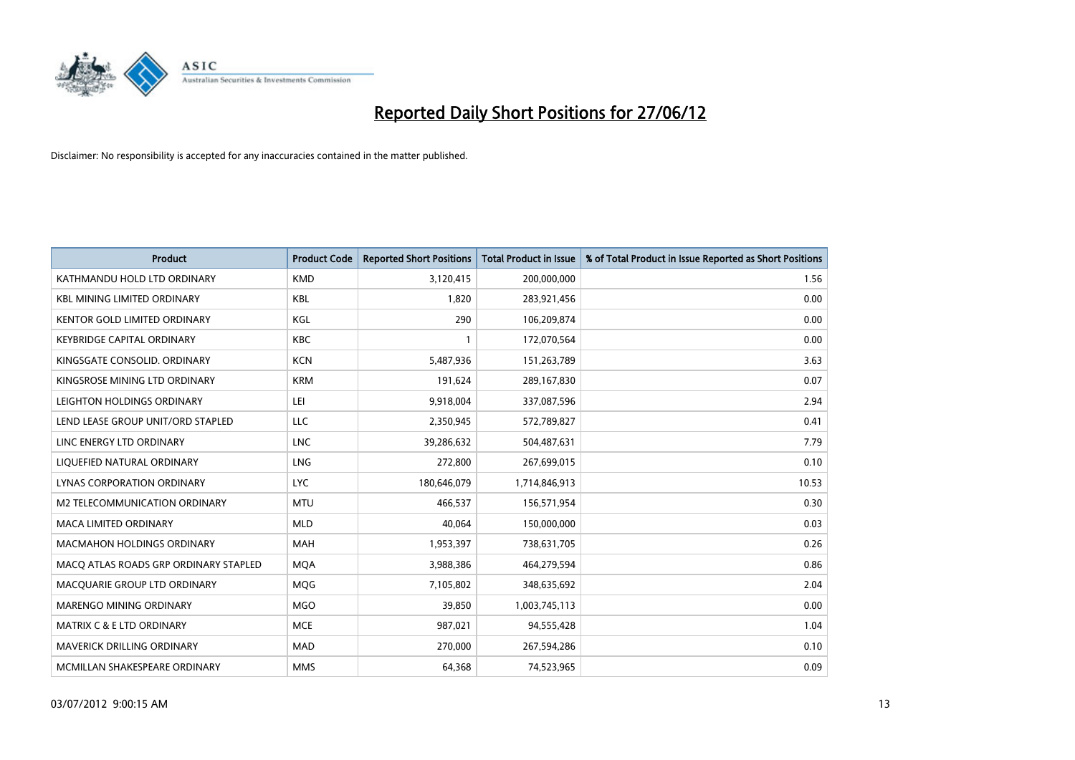

| <b>Product</b>                        | <b>Product Code</b> | <b>Reported Short Positions</b> | <b>Total Product in Issue</b> | % of Total Product in Issue Reported as Short Positions |
|---------------------------------------|---------------------|---------------------------------|-------------------------------|---------------------------------------------------------|
| KATHMANDU HOLD LTD ORDINARY           | <b>KMD</b>          | 3,120,415                       | 200,000,000                   | 1.56                                                    |
| <b>KBL MINING LIMITED ORDINARY</b>    | <b>KBL</b>          | 1,820                           | 283,921,456                   | 0.00                                                    |
| KENTOR GOLD LIMITED ORDINARY          | KGL                 | 290                             | 106,209,874                   | 0.00                                                    |
| <b>KEYBRIDGE CAPITAL ORDINARY</b>     | <b>KBC</b>          | 1                               | 172,070,564                   | 0.00                                                    |
| KINGSGATE CONSOLID. ORDINARY          | <b>KCN</b>          | 5,487,936                       | 151,263,789                   | 3.63                                                    |
| KINGSROSE MINING LTD ORDINARY         | <b>KRM</b>          | 191,624                         | 289,167,830                   | 0.07                                                    |
| LEIGHTON HOLDINGS ORDINARY            | LEI                 | 9,918,004                       | 337,087,596                   | 2.94                                                    |
| LEND LEASE GROUP UNIT/ORD STAPLED     | <b>LLC</b>          | 2,350,945                       | 572,789,827                   | 0.41                                                    |
| LINC ENERGY LTD ORDINARY              | <b>LNC</b>          | 39,286,632                      | 504,487,631                   | 7.79                                                    |
| LIQUEFIED NATURAL ORDINARY            | <b>LNG</b>          | 272,800                         | 267,699,015                   | 0.10                                                    |
| LYNAS CORPORATION ORDINARY            | <b>LYC</b>          | 180,646,079                     | 1,714,846,913                 | 10.53                                                   |
| M2 TELECOMMUNICATION ORDINARY         | <b>MTU</b>          | 466,537                         | 156,571,954                   | 0.30                                                    |
| MACA LIMITED ORDINARY                 | <b>MLD</b>          | 40,064                          | 150,000,000                   | 0.03                                                    |
| <b>MACMAHON HOLDINGS ORDINARY</b>     | <b>MAH</b>          | 1,953,397                       | 738,631,705                   | 0.26                                                    |
| MACO ATLAS ROADS GRP ORDINARY STAPLED | <b>MQA</b>          | 3,988,386                       | 464,279,594                   | 0.86                                                    |
| MACQUARIE GROUP LTD ORDINARY          | MQG                 | 7,105,802                       | 348,635,692                   | 2.04                                                    |
| MARENGO MINING ORDINARY               | MGO                 | 39,850                          | 1,003,745,113                 | 0.00                                                    |
| MATRIX C & E LTD ORDINARY             | <b>MCE</b>          | 987,021                         | 94,555,428                    | 1.04                                                    |
| <b>MAVERICK DRILLING ORDINARY</b>     | <b>MAD</b>          | 270,000                         | 267,594,286                   | 0.10                                                    |
| MCMILLAN SHAKESPEARE ORDINARY         | <b>MMS</b>          | 64,368                          | 74,523,965                    | 0.09                                                    |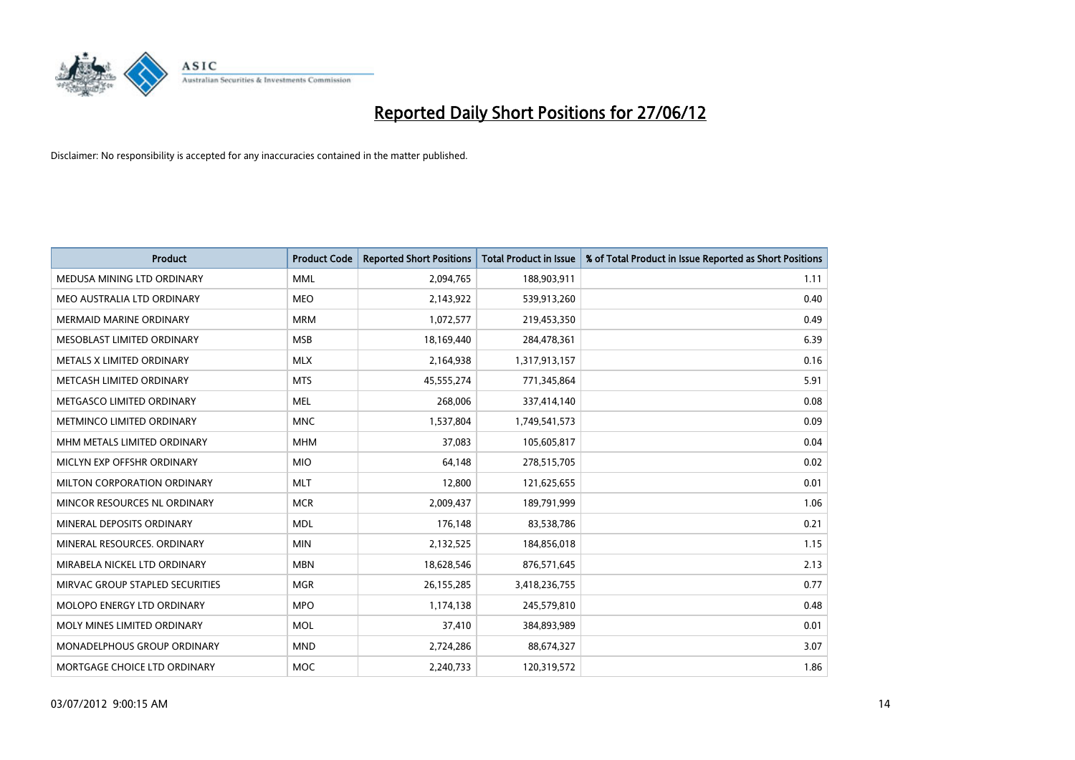

| <b>Product</b>                  | <b>Product Code</b> | <b>Reported Short Positions</b> | <b>Total Product in Issue</b> | % of Total Product in Issue Reported as Short Positions |
|---------------------------------|---------------------|---------------------------------|-------------------------------|---------------------------------------------------------|
| MEDUSA MINING LTD ORDINARY      | <b>MML</b>          | 2,094,765                       | 188,903,911                   | 1.11                                                    |
| MEO AUSTRALIA LTD ORDINARY      | <b>MEO</b>          | 2,143,922                       | 539,913,260                   | 0.40                                                    |
| <b>MERMAID MARINE ORDINARY</b>  | <b>MRM</b>          | 1,072,577                       | 219,453,350                   | 0.49                                                    |
| MESOBLAST LIMITED ORDINARY      | <b>MSB</b>          | 18,169,440                      | 284,478,361                   | 6.39                                                    |
| METALS X LIMITED ORDINARY       | <b>MLX</b>          | 2,164,938                       | 1,317,913,157                 | 0.16                                                    |
| METCASH LIMITED ORDINARY        | <b>MTS</b>          | 45,555,274                      | 771,345,864                   | 5.91                                                    |
| METGASCO LIMITED ORDINARY       | <b>MEL</b>          | 268,006                         | 337,414,140                   | 0.08                                                    |
| METMINCO LIMITED ORDINARY       | <b>MNC</b>          | 1,537,804                       | 1,749,541,573                 | 0.09                                                    |
| MHM METALS LIMITED ORDINARY     | <b>MHM</b>          | 37,083                          | 105,605,817                   | 0.04                                                    |
| MICLYN EXP OFFSHR ORDINARY      | <b>MIO</b>          | 64,148                          | 278,515,705                   | 0.02                                                    |
| MILTON CORPORATION ORDINARY     | <b>MLT</b>          | 12,800                          | 121,625,655                   | 0.01                                                    |
| MINCOR RESOURCES NL ORDINARY    | <b>MCR</b>          | 2,009,437                       | 189,791,999                   | 1.06                                                    |
| MINERAL DEPOSITS ORDINARY       | <b>MDL</b>          | 176,148                         | 83,538,786                    | 0.21                                                    |
| MINERAL RESOURCES, ORDINARY     | <b>MIN</b>          | 2,132,525                       | 184,856,018                   | 1.15                                                    |
| MIRABELA NICKEL LTD ORDINARY    | <b>MBN</b>          | 18,628,546                      | 876,571,645                   | 2.13                                                    |
| MIRVAC GROUP STAPLED SECURITIES | <b>MGR</b>          | 26, 155, 285                    | 3,418,236,755                 | 0.77                                                    |
| MOLOPO ENERGY LTD ORDINARY      | <b>MPO</b>          | 1,174,138                       | 245,579,810                   | 0.48                                                    |
| MOLY MINES LIMITED ORDINARY     | <b>MOL</b>          | 37,410                          | 384,893,989                   | 0.01                                                    |
| MONADELPHOUS GROUP ORDINARY     | <b>MND</b>          | 2,724,286                       | 88,674,327                    | 3.07                                                    |
| MORTGAGE CHOICE LTD ORDINARY    | <b>MOC</b>          | 2,240,733                       | 120,319,572                   | 1.86                                                    |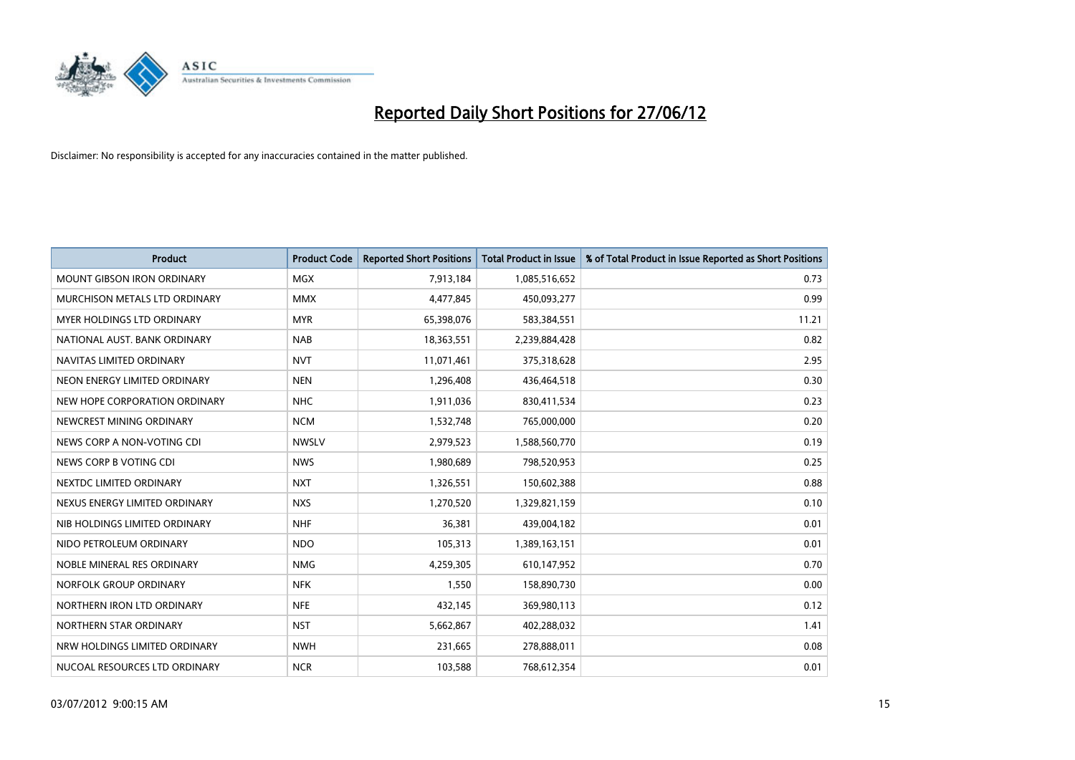

| <b>Product</b>                    | <b>Product Code</b> | <b>Reported Short Positions</b> | <b>Total Product in Issue</b> | % of Total Product in Issue Reported as Short Positions |
|-----------------------------------|---------------------|---------------------------------|-------------------------------|---------------------------------------------------------|
| <b>MOUNT GIBSON IRON ORDINARY</b> | <b>MGX</b>          | 7,913,184                       | 1,085,516,652                 | 0.73                                                    |
| MURCHISON METALS LTD ORDINARY     | <b>MMX</b>          | 4,477,845                       | 450,093,277                   | 0.99                                                    |
| MYER HOLDINGS LTD ORDINARY        | <b>MYR</b>          | 65,398,076                      | 583,384,551                   | 11.21                                                   |
| NATIONAL AUST, BANK ORDINARY      | <b>NAB</b>          | 18,363,551                      | 2,239,884,428                 | 0.82                                                    |
| NAVITAS LIMITED ORDINARY          | <b>NVT</b>          | 11,071,461                      | 375,318,628                   | 2.95                                                    |
| NEON ENERGY LIMITED ORDINARY      | <b>NEN</b>          | 1,296,408                       | 436,464,518                   | 0.30                                                    |
| NEW HOPE CORPORATION ORDINARY     | <b>NHC</b>          | 1,911,036                       | 830,411,534                   | 0.23                                                    |
| NEWCREST MINING ORDINARY          | <b>NCM</b>          | 1,532,748                       | 765,000,000                   | 0.20                                                    |
| NEWS CORP A NON-VOTING CDI        | <b>NWSLV</b>        | 2,979,523                       | 1,588,560,770                 | 0.19                                                    |
| NEWS CORP B VOTING CDI            | <b>NWS</b>          | 1,980,689                       | 798,520,953                   | 0.25                                                    |
| NEXTDC LIMITED ORDINARY           | <b>NXT</b>          | 1,326,551                       | 150,602,388                   | 0.88                                                    |
| NEXUS ENERGY LIMITED ORDINARY     | <b>NXS</b>          | 1,270,520                       | 1,329,821,159                 | 0.10                                                    |
| NIB HOLDINGS LIMITED ORDINARY     | <b>NHF</b>          | 36,381                          | 439,004,182                   | 0.01                                                    |
| NIDO PETROLEUM ORDINARY           | <b>NDO</b>          | 105,313                         | 1,389,163,151                 | 0.01                                                    |
| NOBLE MINERAL RES ORDINARY        | <b>NMG</b>          | 4,259,305                       | 610,147,952                   | 0.70                                                    |
| NORFOLK GROUP ORDINARY            | <b>NFK</b>          | 1,550                           | 158,890,730                   | 0.00                                                    |
| NORTHERN IRON LTD ORDINARY        | <b>NFE</b>          | 432,145                         | 369,980,113                   | 0.12                                                    |
| NORTHERN STAR ORDINARY            | <b>NST</b>          | 5,662,867                       | 402,288,032                   | 1.41                                                    |
| NRW HOLDINGS LIMITED ORDINARY     | <b>NWH</b>          | 231,665                         | 278,888,011                   | 0.08                                                    |
| NUCOAL RESOURCES LTD ORDINARY     | <b>NCR</b>          | 103,588                         | 768,612,354                   | 0.01                                                    |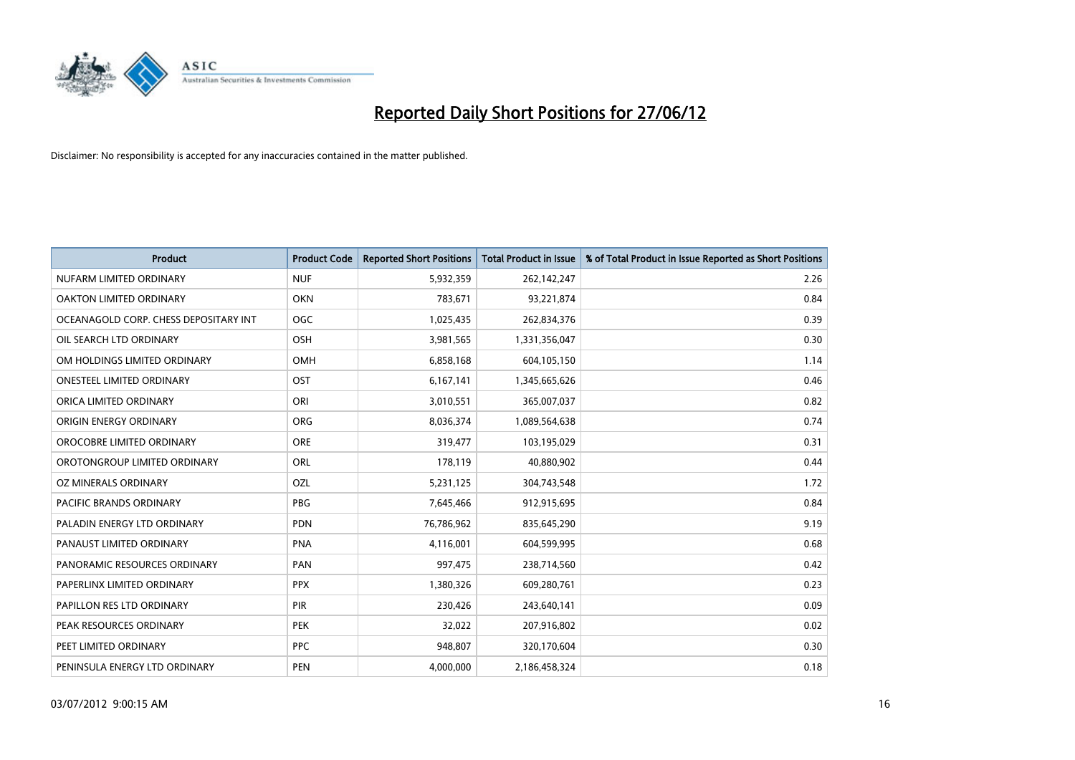

| <b>Product</b>                        | <b>Product Code</b> | <b>Reported Short Positions</b> | <b>Total Product in Issue</b> | % of Total Product in Issue Reported as Short Positions |
|---------------------------------------|---------------------|---------------------------------|-------------------------------|---------------------------------------------------------|
| NUFARM LIMITED ORDINARY               | <b>NUF</b>          | 5,932,359                       | 262,142,247                   | 2.26                                                    |
| OAKTON LIMITED ORDINARY               | <b>OKN</b>          | 783,671                         | 93,221,874                    | 0.84                                                    |
| OCEANAGOLD CORP. CHESS DEPOSITARY INT | <b>OGC</b>          | 1,025,435                       | 262,834,376                   | 0.39                                                    |
| OIL SEARCH LTD ORDINARY               | OSH                 | 3,981,565                       | 1,331,356,047                 | 0.30                                                    |
| OM HOLDINGS LIMITED ORDINARY          | OMH                 | 6,858,168                       | 604,105,150                   | 1.14                                                    |
| <b>ONESTEEL LIMITED ORDINARY</b>      | OST                 | 6,167,141                       | 1,345,665,626                 | 0.46                                                    |
| ORICA LIMITED ORDINARY                | ORI                 | 3,010,551                       | 365,007,037                   | 0.82                                                    |
| ORIGIN ENERGY ORDINARY                | ORG                 | 8,036,374                       | 1,089,564,638                 | 0.74                                                    |
| OROCOBRE LIMITED ORDINARY             | <b>ORE</b>          | 319,477                         | 103,195,029                   | 0.31                                                    |
| OROTONGROUP LIMITED ORDINARY          | ORL                 | 178,119                         | 40,880,902                    | 0.44                                                    |
| OZ MINERALS ORDINARY                  | OZL                 | 5,231,125                       | 304,743,548                   | 1.72                                                    |
| PACIFIC BRANDS ORDINARY               | <b>PBG</b>          | 7,645,466                       | 912,915,695                   | 0.84                                                    |
| PALADIN ENERGY LTD ORDINARY           | <b>PDN</b>          | 76,786,962                      | 835,645,290                   | 9.19                                                    |
| PANAUST LIMITED ORDINARY              | <b>PNA</b>          | 4,116,001                       | 604,599,995                   | 0.68                                                    |
| PANORAMIC RESOURCES ORDINARY          | PAN                 | 997,475                         | 238,714,560                   | 0.42                                                    |
| PAPERLINX LIMITED ORDINARY            | <b>PPX</b>          | 1,380,326                       | 609,280,761                   | 0.23                                                    |
| PAPILLON RES LTD ORDINARY             | PIR                 | 230,426                         | 243,640,141                   | 0.09                                                    |
| PEAK RESOURCES ORDINARY               | <b>PEK</b>          | 32,022                          | 207,916,802                   | 0.02                                                    |
| PEET LIMITED ORDINARY                 | <b>PPC</b>          | 948,807                         | 320,170,604                   | 0.30                                                    |
| PENINSULA ENERGY LTD ORDINARY         | <b>PEN</b>          | 4,000,000                       | 2,186,458,324                 | 0.18                                                    |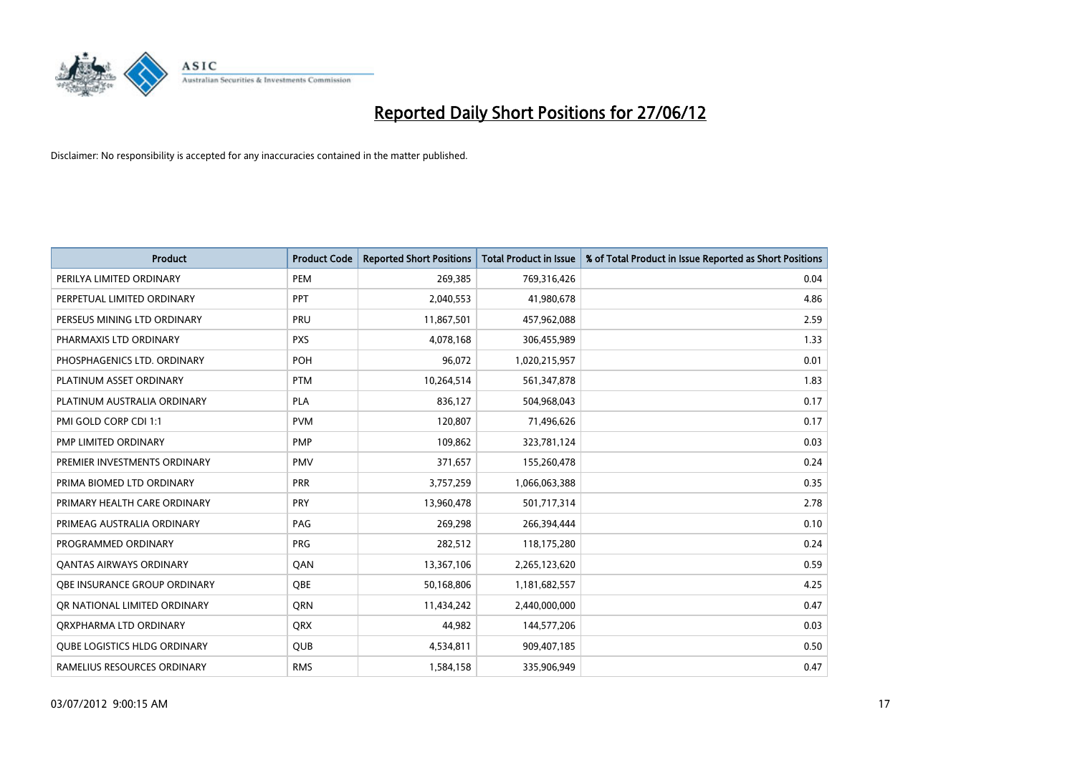

| <b>Product</b>                      | <b>Product Code</b> | <b>Reported Short Positions</b> | <b>Total Product in Issue</b> | % of Total Product in Issue Reported as Short Positions |
|-------------------------------------|---------------------|---------------------------------|-------------------------------|---------------------------------------------------------|
| PERILYA LIMITED ORDINARY            | PEM                 | 269,385                         | 769,316,426                   | 0.04                                                    |
| PERPETUAL LIMITED ORDINARY          | PPT                 | 2,040,553                       | 41,980,678                    | 4.86                                                    |
| PERSEUS MINING LTD ORDINARY         | PRU                 | 11,867,501                      | 457,962,088                   | 2.59                                                    |
| PHARMAXIS LTD ORDINARY              | <b>PXS</b>          | 4,078,168                       | 306,455,989                   | 1.33                                                    |
| PHOSPHAGENICS LTD. ORDINARY         | POH                 | 96,072                          | 1,020,215,957                 | 0.01                                                    |
| PLATINUM ASSET ORDINARY             | <b>PTM</b>          | 10,264,514                      | 561,347,878                   | 1.83                                                    |
| PLATINUM AUSTRALIA ORDINARY         | PLA                 | 836,127                         | 504,968,043                   | 0.17                                                    |
| PMI GOLD CORP CDI 1:1               | <b>PVM</b>          | 120,807                         | 71,496,626                    | 0.17                                                    |
| PMP LIMITED ORDINARY                | <b>PMP</b>          | 109,862                         | 323,781,124                   | 0.03                                                    |
| PREMIER INVESTMENTS ORDINARY        | <b>PMV</b>          | 371,657                         | 155,260,478                   | 0.24                                                    |
| PRIMA BIOMED LTD ORDINARY           | <b>PRR</b>          | 3,757,259                       | 1,066,063,388                 | 0.35                                                    |
| PRIMARY HEALTH CARE ORDINARY        | <b>PRY</b>          | 13,960,478                      | 501,717,314                   | 2.78                                                    |
| PRIMEAG AUSTRALIA ORDINARY          | PAG                 | 269,298                         | 266,394,444                   | 0.10                                                    |
| PROGRAMMED ORDINARY                 | <b>PRG</b>          | 282,512                         | 118,175,280                   | 0.24                                                    |
| <b>QANTAS AIRWAYS ORDINARY</b>      | QAN                 | 13,367,106                      | 2,265,123,620                 | 0.59                                                    |
| OBE INSURANCE GROUP ORDINARY        | <b>OBE</b>          | 50,168,806                      | 1,181,682,557                 | 4.25                                                    |
| OR NATIONAL LIMITED ORDINARY        | <b>ORN</b>          | 11,434,242                      | 2,440,000,000                 | 0.47                                                    |
| ORXPHARMA LTD ORDINARY              | <b>QRX</b>          | 44,982                          | 144,577,206                   | 0.03                                                    |
| <b>QUBE LOGISTICS HLDG ORDINARY</b> | QUB                 | 4,534,811                       | 909,407,185                   | 0.50                                                    |
| RAMELIUS RESOURCES ORDINARY         | <b>RMS</b>          | 1,584,158                       | 335,906,949                   | 0.47                                                    |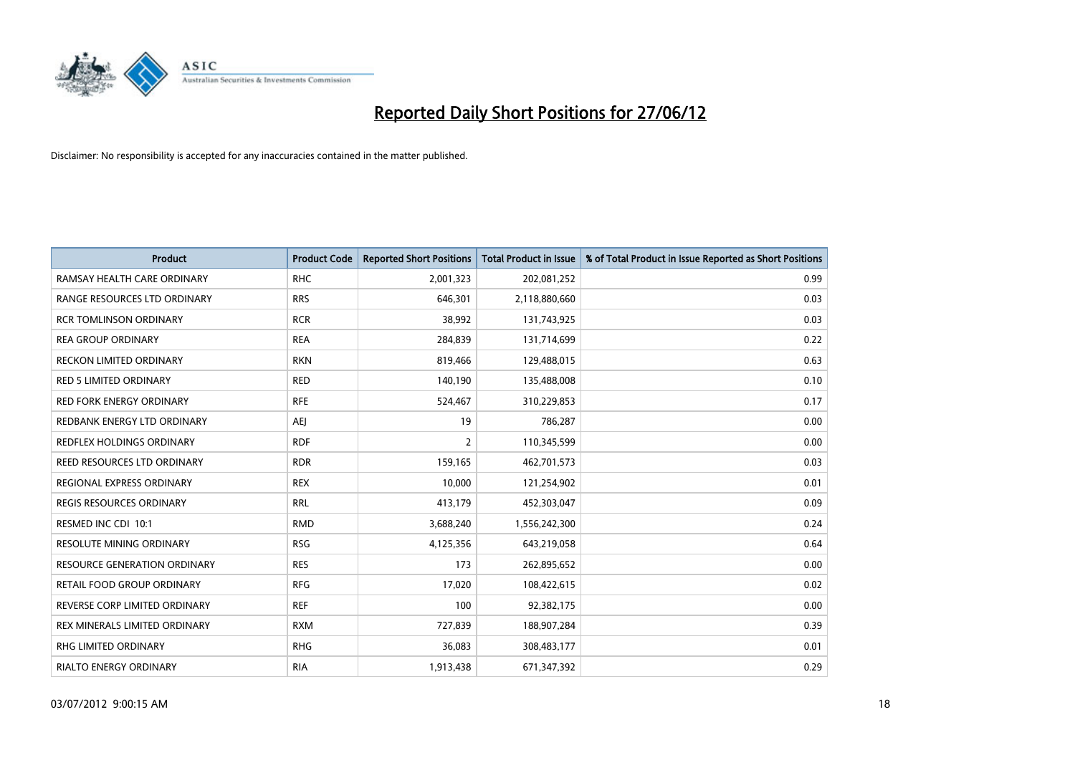

| <b>Product</b>                      | <b>Product Code</b> | <b>Reported Short Positions</b> | <b>Total Product in Issue</b> | % of Total Product in Issue Reported as Short Positions |
|-------------------------------------|---------------------|---------------------------------|-------------------------------|---------------------------------------------------------|
| RAMSAY HEALTH CARE ORDINARY         | <b>RHC</b>          | 2,001,323                       | 202,081,252                   | 0.99                                                    |
| RANGE RESOURCES LTD ORDINARY        | <b>RRS</b>          | 646,301                         | 2,118,880,660                 | 0.03                                                    |
| <b>RCR TOMLINSON ORDINARY</b>       | <b>RCR</b>          | 38,992                          | 131,743,925                   | 0.03                                                    |
| <b>REA GROUP ORDINARY</b>           | <b>REA</b>          | 284,839                         | 131,714,699                   | 0.22                                                    |
| <b>RECKON LIMITED ORDINARY</b>      | <b>RKN</b>          | 819,466                         | 129,488,015                   | 0.63                                                    |
| <b>RED 5 LIMITED ORDINARY</b>       | <b>RED</b>          | 140,190                         | 135,488,008                   | 0.10                                                    |
| <b>RED FORK ENERGY ORDINARY</b>     | <b>RFE</b>          | 524,467                         | 310,229,853                   | 0.17                                                    |
| REDBANK ENERGY LTD ORDINARY         | AEJ                 | 19                              | 786,287                       | 0.00                                                    |
| <b>REDFLEX HOLDINGS ORDINARY</b>    | <b>RDF</b>          | $\overline{2}$                  | 110,345,599                   | 0.00                                                    |
| REED RESOURCES LTD ORDINARY         | <b>RDR</b>          | 159,165                         | 462,701,573                   | 0.03                                                    |
| REGIONAL EXPRESS ORDINARY           | <b>REX</b>          | 10,000                          | 121,254,902                   | 0.01                                                    |
| <b>REGIS RESOURCES ORDINARY</b>     | <b>RRL</b>          | 413,179                         | 452,303,047                   | 0.09                                                    |
| RESMED INC CDI 10:1                 | <b>RMD</b>          | 3,688,240                       | 1,556,242,300                 | 0.24                                                    |
| <b>RESOLUTE MINING ORDINARY</b>     | <b>RSG</b>          | 4,125,356                       | 643,219,058                   | 0.64                                                    |
| <b>RESOURCE GENERATION ORDINARY</b> | <b>RES</b>          | 173                             | 262,895,652                   | 0.00                                                    |
| RETAIL FOOD GROUP ORDINARY          | <b>RFG</b>          | 17,020                          | 108,422,615                   | 0.02                                                    |
| REVERSE CORP LIMITED ORDINARY       | <b>REF</b>          | 100                             | 92,382,175                    | 0.00                                                    |
| REX MINERALS LIMITED ORDINARY       | <b>RXM</b>          | 727,839                         | 188,907,284                   | 0.39                                                    |
| <b>RHG LIMITED ORDINARY</b>         | <b>RHG</b>          | 36,083                          | 308,483,177                   | 0.01                                                    |
| <b>RIALTO ENERGY ORDINARY</b>       | <b>RIA</b>          | 1,913,438                       | 671,347,392                   | 0.29                                                    |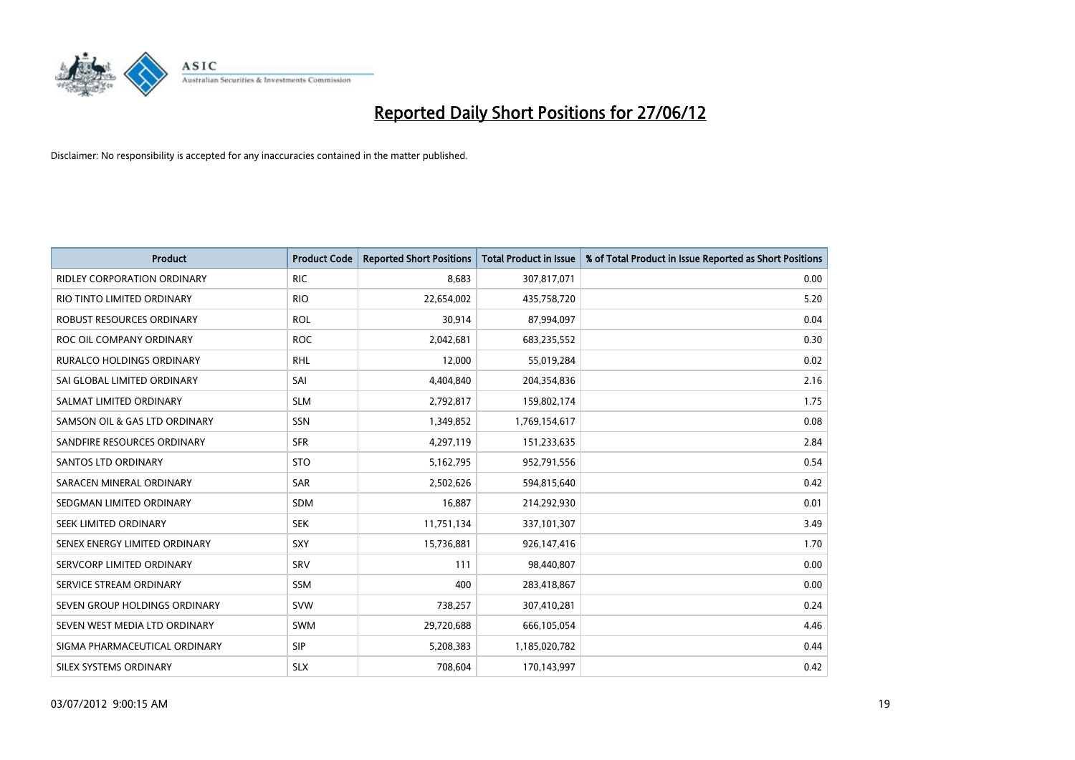

| <b>Product</b>                     | <b>Product Code</b> | <b>Reported Short Positions</b> | <b>Total Product in Issue</b> | % of Total Product in Issue Reported as Short Positions |
|------------------------------------|---------------------|---------------------------------|-------------------------------|---------------------------------------------------------|
| <b>RIDLEY CORPORATION ORDINARY</b> | <b>RIC</b>          | 8,683                           | 307,817,071                   | 0.00                                                    |
| RIO TINTO LIMITED ORDINARY         | <b>RIO</b>          | 22,654,002                      | 435,758,720                   | 5.20                                                    |
| ROBUST RESOURCES ORDINARY          | <b>ROL</b>          | 30,914                          | 87,994,097                    | 0.04                                                    |
| ROC OIL COMPANY ORDINARY           | <b>ROC</b>          | 2,042,681                       | 683,235,552                   | 0.30                                                    |
| <b>RURALCO HOLDINGS ORDINARY</b>   | <b>RHL</b>          | 12,000                          | 55,019,284                    | 0.02                                                    |
| SAI GLOBAL LIMITED ORDINARY        | SAI                 | 4,404,840                       | 204,354,836                   | 2.16                                                    |
| SALMAT LIMITED ORDINARY            | <b>SLM</b>          | 2,792,817                       | 159,802,174                   | 1.75                                                    |
| SAMSON OIL & GAS LTD ORDINARY      | SSN                 | 1,349,852                       | 1,769,154,617                 | 0.08                                                    |
| SANDFIRE RESOURCES ORDINARY        | <b>SFR</b>          | 4,297,119                       | 151,233,635                   | 2.84                                                    |
| SANTOS LTD ORDINARY                | <b>STO</b>          | 5,162,795                       | 952,791,556                   | 0.54                                                    |
| SARACEN MINERAL ORDINARY           | SAR                 | 2,502,626                       | 594,815,640                   | 0.42                                                    |
| SEDGMAN LIMITED ORDINARY           | SDM                 | 16,887                          | 214,292,930                   | 0.01                                                    |
| SEEK LIMITED ORDINARY              | <b>SEK</b>          | 11,751,134                      | 337,101,307                   | 3.49                                                    |
| SENEX ENERGY LIMITED ORDINARY      | <b>SXY</b>          | 15,736,881                      | 926,147,416                   | 1.70                                                    |
| SERVCORP LIMITED ORDINARY          | SRV                 | 111                             | 98,440,807                    | 0.00                                                    |
| SERVICE STREAM ORDINARY            | <b>SSM</b>          | 400                             | 283,418,867                   | 0.00                                                    |
| SEVEN GROUP HOLDINGS ORDINARY      | <b>SVW</b>          | 738,257                         | 307,410,281                   | 0.24                                                    |
| SEVEN WEST MEDIA LTD ORDINARY      | <b>SWM</b>          | 29,720,688                      | 666,105,054                   | 4.46                                                    |
| SIGMA PHARMACEUTICAL ORDINARY      | <b>SIP</b>          | 5,208,383                       | 1,185,020,782                 | 0.44                                                    |
| SILEX SYSTEMS ORDINARY             | <b>SLX</b>          | 708,604                         | 170,143,997                   | 0.42                                                    |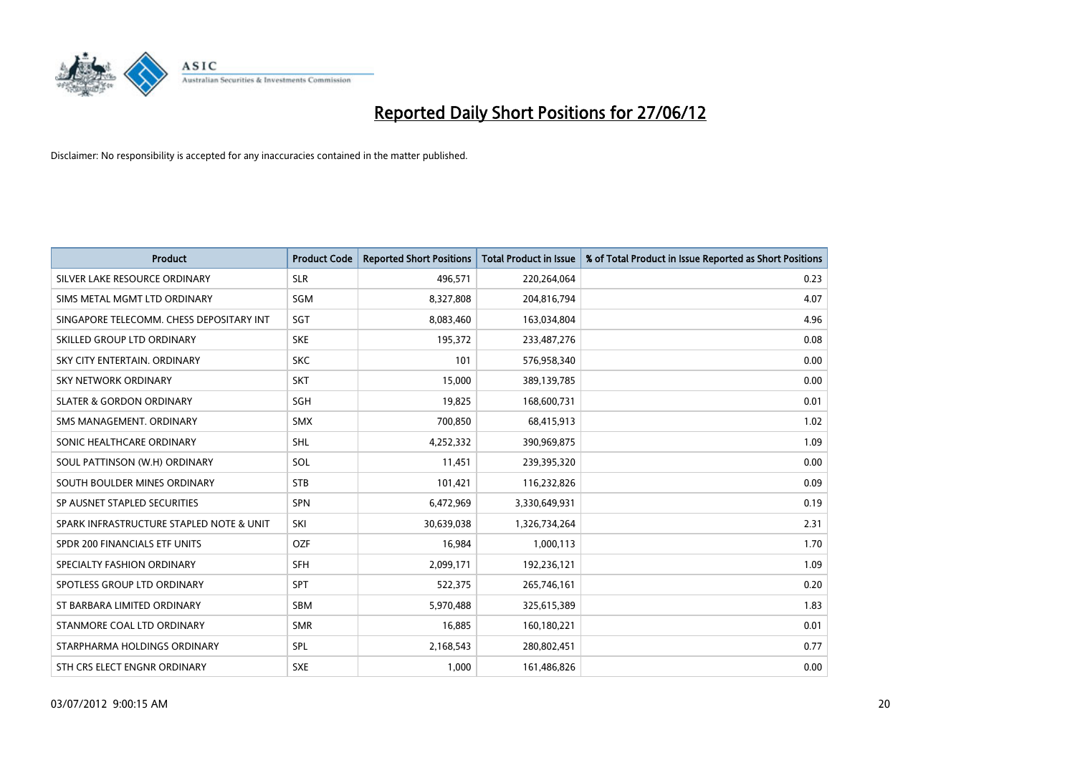

| <b>Product</b>                           | <b>Product Code</b> | <b>Reported Short Positions</b> | <b>Total Product in Issue</b> | % of Total Product in Issue Reported as Short Positions |
|------------------------------------------|---------------------|---------------------------------|-------------------------------|---------------------------------------------------------|
| SILVER LAKE RESOURCE ORDINARY            | <b>SLR</b>          | 496,571                         | 220,264,064                   | 0.23                                                    |
| SIMS METAL MGMT LTD ORDINARY             | SGM                 | 8,327,808                       | 204,816,794                   | 4.07                                                    |
| SINGAPORE TELECOMM. CHESS DEPOSITARY INT | SGT                 | 8,083,460                       | 163,034,804                   | 4.96                                                    |
| SKILLED GROUP LTD ORDINARY               | <b>SKE</b>          | 195,372                         | 233,487,276                   | 0.08                                                    |
| SKY CITY ENTERTAIN, ORDINARY             | <b>SKC</b>          | 101                             | 576,958,340                   | 0.00                                                    |
| <b>SKY NETWORK ORDINARY</b>              | <b>SKT</b>          | 15,000                          | 389,139,785                   | 0.00                                                    |
| <b>SLATER &amp; GORDON ORDINARY</b>      | SGH                 | 19,825                          | 168,600,731                   | 0.01                                                    |
| SMS MANAGEMENT. ORDINARY                 | <b>SMX</b>          | 700,850                         | 68,415,913                    | 1.02                                                    |
| SONIC HEALTHCARE ORDINARY                | <b>SHL</b>          | 4,252,332                       | 390,969,875                   | 1.09                                                    |
| SOUL PATTINSON (W.H) ORDINARY            | SOL                 | 11,451                          | 239,395,320                   | 0.00                                                    |
| SOUTH BOULDER MINES ORDINARY             | <b>STB</b>          | 101,421                         | 116,232,826                   | 0.09                                                    |
| SP AUSNET STAPLED SECURITIES             | <b>SPN</b>          | 6,472,969                       | 3,330,649,931                 | 0.19                                                    |
| SPARK INFRASTRUCTURE STAPLED NOTE & UNIT | SKI                 | 30,639,038                      | 1,326,734,264                 | 2.31                                                    |
| SPDR 200 FINANCIALS ETF UNITS            | <b>OZF</b>          | 16,984                          | 1,000,113                     | 1.70                                                    |
| SPECIALTY FASHION ORDINARY               | <b>SFH</b>          | 2,099,171                       | 192,236,121                   | 1.09                                                    |
| SPOTLESS GROUP LTD ORDINARY              | <b>SPT</b>          | 522,375                         | 265,746,161                   | 0.20                                                    |
| ST BARBARA LIMITED ORDINARY              | <b>SBM</b>          | 5,970,488                       | 325,615,389                   | 1.83                                                    |
| STANMORE COAL LTD ORDINARY               | <b>SMR</b>          | 16,885                          | 160,180,221                   | 0.01                                                    |
| STARPHARMA HOLDINGS ORDINARY             | SPL                 | 2,168,543                       | 280,802,451                   | 0.77                                                    |
| STH CRS ELECT ENGNR ORDINARY             | <b>SXE</b>          | 1,000                           | 161,486,826                   | 0.00                                                    |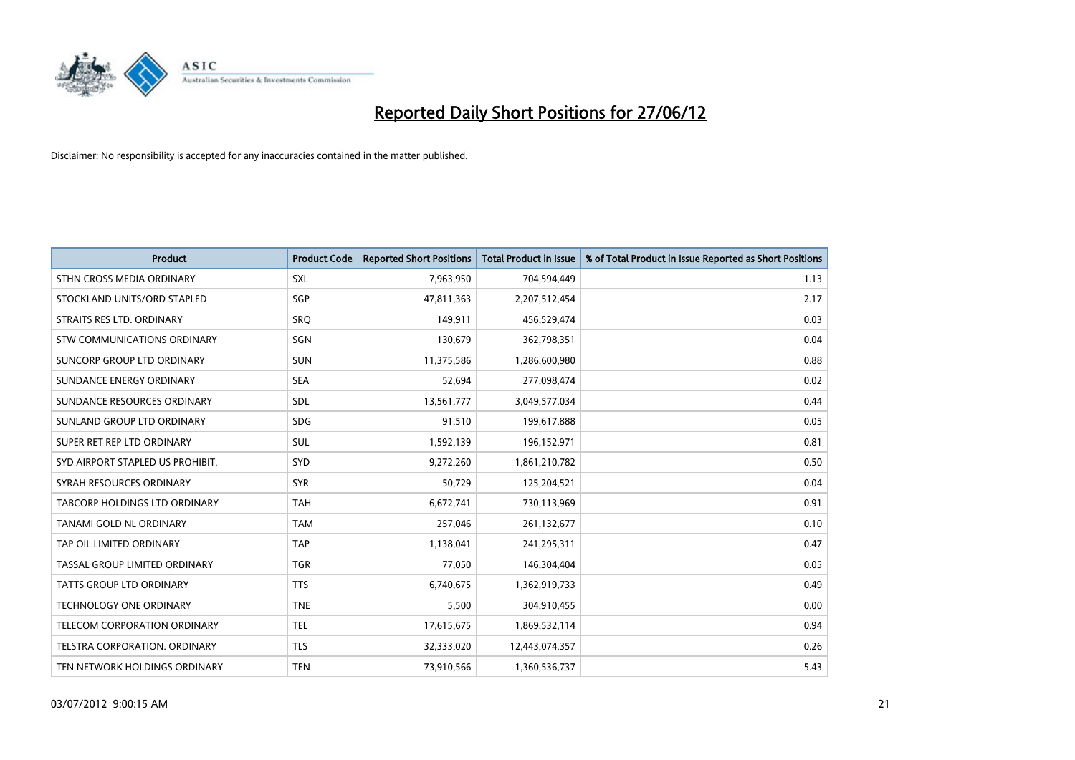

| <b>Product</b>                   | <b>Product Code</b> | <b>Reported Short Positions</b> | <b>Total Product in Issue</b> | % of Total Product in Issue Reported as Short Positions |
|----------------------------------|---------------------|---------------------------------|-------------------------------|---------------------------------------------------------|
| STHN CROSS MEDIA ORDINARY        | <b>SXL</b>          | 7,963,950                       | 704,594,449                   | 1.13                                                    |
| STOCKLAND UNITS/ORD STAPLED      | <b>SGP</b>          | 47,811,363                      | 2,207,512,454                 | 2.17                                                    |
| STRAITS RES LTD. ORDINARY        | SRO                 | 149,911                         | 456,529,474                   | 0.03                                                    |
| STW COMMUNICATIONS ORDINARY      | <b>SGN</b>          | 130,679                         | 362,798,351                   | 0.04                                                    |
| SUNCORP GROUP LTD ORDINARY       | <b>SUN</b>          | 11,375,586                      | 1,286,600,980                 | 0.88                                                    |
| SUNDANCE ENERGY ORDINARY         | <b>SEA</b>          | 52,694                          | 277,098,474                   | 0.02                                                    |
| SUNDANCE RESOURCES ORDINARY      | SDL                 | 13,561,777                      | 3,049,577,034                 | 0.44                                                    |
| SUNLAND GROUP LTD ORDINARY       | <b>SDG</b>          | 91,510                          | 199,617,888                   | 0.05                                                    |
| SUPER RET REP LTD ORDINARY       | SUL                 | 1,592,139                       | 196,152,971                   | 0.81                                                    |
| SYD AIRPORT STAPLED US PROHIBIT. | SYD                 | 9,272,260                       | 1,861,210,782                 | 0.50                                                    |
| SYRAH RESOURCES ORDINARY         | <b>SYR</b>          | 50,729                          | 125,204,521                   | 0.04                                                    |
| TABCORP HOLDINGS LTD ORDINARY    | <b>TAH</b>          | 6,672,741                       | 730,113,969                   | 0.91                                                    |
| TANAMI GOLD NL ORDINARY          | <b>TAM</b>          | 257,046                         | 261,132,677                   | 0.10                                                    |
| TAP OIL LIMITED ORDINARY         | <b>TAP</b>          | 1,138,041                       | 241,295,311                   | 0.47                                                    |
| TASSAL GROUP LIMITED ORDINARY    | <b>TGR</b>          | 77,050                          | 146,304,404                   | 0.05                                                    |
| <b>TATTS GROUP LTD ORDINARY</b>  | <b>TTS</b>          | 6,740,675                       | 1,362,919,733                 | 0.49                                                    |
| TECHNOLOGY ONE ORDINARY          | <b>TNE</b>          | 5,500                           | 304,910,455                   | 0.00                                                    |
| TELECOM CORPORATION ORDINARY     | <b>TEL</b>          | 17,615,675                      | 1,869,532,114                 | 0.94                                                    |
| TELSTRA CORPORATION, ORDINARY    | <b>TLS</b>          | 32,333,020                      | 12,443,074,357                | 0.26                                                    |
| TEN NETWORK HOLDINGS ORDINARY    | <b>TEN</b>          | 73,910,566                      | 1,360,536,737                 | 5.43                                                    |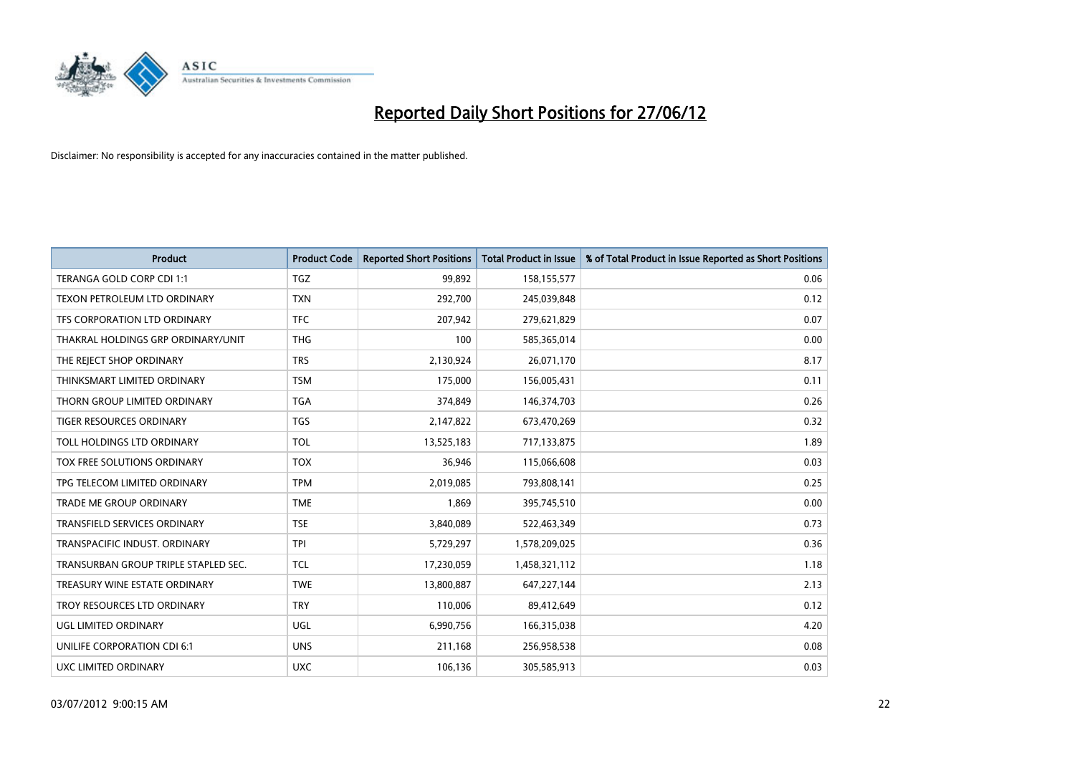

| <b>Product</b>                       | <b>Product Code</b> | <b>Reported Short Positions</b> | <b>Total Product in Issue</b> | % of Total Product in Issue Reported as Short Positions |
|--------------------------------------|---------------------|---------------------------------|-------------------------------|---------------------------------------------------------|
| TERANGA GOLD CORP CDI 1:1            | <b>TGZ</b>          | 99,892                          | 158,155,577                   | 0.06                                                    |
| TEXON PETROLEUM LTD ORDINARY         | <b>TXN</b>          | 292,700                         | 245,039,848                   | 0.12                                                    |
| TFS CORPORATION LTD ORDINARY         | <b>TFC</b>          | 207,942                         | 279,621,829                   | 0.07                                                    |
| THAKRAL HOLDINGS GRP ORDINARY/UNIT   | <b>THG</b>          | 100                             | 585,365,014                   | 0.00                                                    |
| THE REJECT SHOP ORDINARY             | <b>TRS</b>          | 2,130,924                       | 26,071,170                    | 8.17                                                    |
| THINKSMART LIMITED ORDINARY          | <b>TSM</b>          | 175,000                         | 156,005,431                   | 0.11                                                    |
| THORN GROUP LIMITED ORDINARY         | <b>TGA</b>          | 374,849                         | 146,374,703                   | 0.26                                                    |
| TIGER RESOURCES ORDINARY             | TGS                 | 2,147,822                       | 673,470,269                   | 0.32                                                    |
| TOLL HOLDINGS LTD ORDINARY           | <b>TOL</b>          | 13,525,183                      | 717,133,875                   | 1.89                                                    |
| TOX FREE SOLUTIONS ORDINARY          | <b>TOX</b>          | 36,946                          | 115,066,608                   | 0.03                                                    |
| TPG TELECOM LIMITED ORDINARY         | <b>TPM</b>          | 2,019,085                       | 793,808,141                   | 0.25                                                    |
| TRADE ME GROUP ORDINARY              | <b>TME</b>          | 1,869                           | 395,745,510                   | 0.00                                                    |
| <b>TRANSFIELD SERVICES ORDINARY</b>  | <b>TSE</b>          | 3,840,089                       | 522,463,349                   | 0.73                                                    |
| TRANSPACIFIC INDUST, ORDINARY        | <b>TPI</b>          | 5,729,297                       | 1,578,209,025                 | 0.36                                                    |
| TRANSURBAN GROUP TRIPLE STAPLED SEC. | TCL                 | 17,230,059                      | 1,458,321,112                 | 1.18                                                    |
| TREASURY WINE ESTATE ORDINARY        | <b>TWE</b>          | 13,800,887                      | 647,227,144                   | 2.13                                                    |
| TROY RESOURCES LTD ORDINARY          | <b>TRY</b>          | 110,006                         | 89,412,649                    | 0.12                                                    |
| UGL LIMITED ORDINARY                 | UGL                 | 6,990,756                       | 166,315,038                   | 4.20                                                    |
| UNILIFE CORPORATION CDI 6:1          | <b>UNS</b>          | 211,168                         | 256,958,538                   | 0.08                                                    |
| <b>UXC LIMITED ORDINARY</b>          | <b>UXC</b>          | 106,136                         | 305,585,913                   | 0.03                                                    |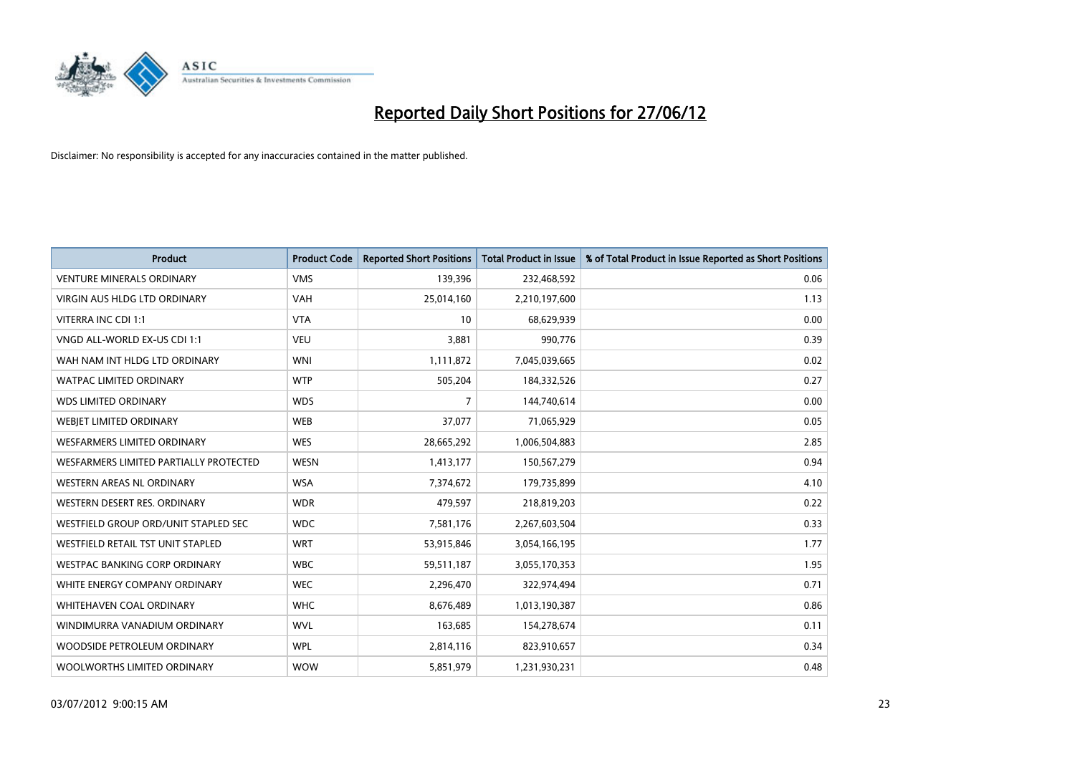

| <b>Product</b>                         | <b>Product Code</b> | <b>Reported Short Positions</b> | <b>Total Product in Issue</b> | % of Total Product in Issue Reported as Short Positions |
|----------------------------------------|---------------------|---------------------------------|-------------------------------|---------------------------------------------------------|
| <b>VENTURE MINERALS ORDINARY</b>       | <b>VMS</b>          | 139,396                         | 232,468,592                   | 0.06                                                    |
| <b>VIRGIN AUS HLDG LTD ORDINARY</b>    | <b>VAH</b>          | 25,014,160                      | 2,210,197,600                 | 1.13                                                    |
| VITERRA INC CDI 1:1                    | <b>VTA</b>          | 10                              | 68,629,939                    | 0.00                                                    |
| VNGD ALL-WORLD EX-US CDI 1:1           | <b>VEU</b>          | 3,881                           | 990,776                       | 0.39                                                    |
| WAH NAM INT HLDG LTD ORDINARY          | <b>WNI</b>          | 1,111,872                       | 7,045,039,665                 | 0.02                                                    |
| <b>WATPAC LIMITED ORDINARY</b>         | <b>WTP</b>          | 505,204                         | 184,332,526                   | 0.27                                                    |
| <b>WDS LIMITED ORDINARY</b>            | <b>WDS</b>          | 7                               | 144,740,614                   | 0.00                                                    |
| WEBIET LIMITED ORDINARY                | <b>WEB</b>          | 37,077                          | 71,065,929                    | 0.05                                                    |
| WESFARMERS LIMITED ORDINARY            | <b>WES</b>          | 28,665,292                      | 1,006,504,883                 | 2.85                                                    |
| WESFARMERS LIMITED PARTIALLY PROTECTED | <b>WESN</b>         | 1,413,177                       | 150,567,279                   | 0.94                                                    |
| WESTERN AREAS NL ORDINARY              | <b>WSA</b>          | 7,374,672                       | 179,735,899                   | 4.10                                                    |
| WESTERN DESERT RES. ORDINARY           | <b>WDR</b>          | 479,597                         | 218,819,203                   | 0.22                                                    |
| WESTFIELD GROUP ORD/UNIT STAPLED SEC   | <b>WDC</b>          | 7,581,176                       | 2,267,603,504                 | 0.33                                                    |
| WESTFIELD RETAIL TST UNIT STAPLED      | <b>WRT</b>          | 53,915,846                      | 3,054,166,195                 | 1.77                                                    |
| <b>WESTPAC BANKING CORP ORDINARY</b>   | <b>WBC</b>          | 59,511,187                      | 3,055,170,353                 | 1.95                                                    |
| WHITE ENERGY COMPANY ORDINARY          | <b>WEC</b>          | 2,296,470                       | 322,974,494                   | 0.71                                                    |
| <b>WHITEHAVEN COAL ORDINARY</b>        | <b>WHC</b>          | 8,676,489                       | 1,013,190,387                 | 0.86                                                    |
| WINDIMURRA VANADIUM ORDINARY           | <b>WVL</b>          | 163,685                         | 154,278,674                   | 0.11                                                    |
| WOODSIDE PETROLEUM ORDINARY            | <b>WPL</b>          | 2,814,116                       | 823,910,657                   | 0.34                                                    |
| WOOLWORTHS LIMITED ORDINARY            | <b>WOW</b>          | 5,851,979                       | 1,231,930,231                 | 0.48                                                    |